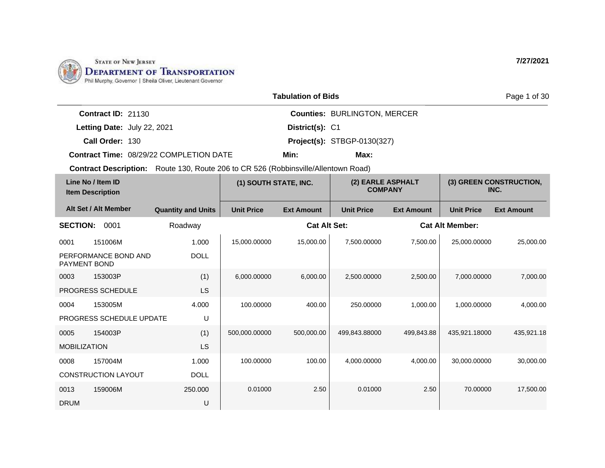

|                             |                                                | <b>Tabulation of Bids</b> |                                     | Page 1 of 30 |
|-----------------------------|------------------------------------------------|---------------------------|-------------------------------------|--------------|
| <b>Contract ID: 21130</b>   |                                                |                           | <b>Counties: BURLINGTON, MERCER</b> |              |
| Letting Date: July 22, 2021 |                                                | District(s): C1           |                                     |              |
| Call Order: 130             |                                                |                           | <b>Project(s): STBGP-0130(327)</b>  |              |
|                             | <b>Contract Time: 08/29/22 COMPLETION DATE</b> | Min:                      | Max:                                |              |

| Line No / Item ID<br><b>Item Description</b> |                            | (1) SOUTH STATE, INC.     |                   | (2) EARLE ASPHALT<br><b>COMPANY</b> |                   |                   | (3) GREEN CONSTRUCTION,<br>INC. |                   |
|----------------------------------------------|----------------------------|---------------------------|-------------------|-------------------------------------|-------------------|-------------------|---------------------------------|-------------------|
|                                              | Alt Set / Alt Member       | <b>Quantity and Units</b> | <b>Unit Price</b> | <b>Ext Amount</b>                   | <b>Unit Price</b> | <b>Ext Amount</b> | <b>Unit Price</b>               | <b>Ext Amount</b> |
| <b>SECTION:</b>                              | 0001                       | Roadway                   |                   | <b>Cat Alt Set:</b>                 |                   |                   | <b>Cat Alt Member:</b>          |                   |
| 0001                                         | 151006M                    | 1.000                     | 15,000.00000      | 15,000.00                           | 7.500.00000       | 7,500.00          | 25.000.00000                    | 25.000.00         |
| <b>PAYMENT BOND</b>                          | PERFORMANCE BOND AND       | <b>DOLL</b>               |                   |                                     |                   |                   |                                 |                   |
| 0003                                         | 153003P                    | (1)                       | 6,000.00000       | 6,000.00                            | 2,500.00000       | 2,500.00          | 7,000.00000                     | 7,000.00          |
|                                              | PROGRESS SCHEDULE          | LS                        |                   |                                     |                   |                   |                                 |                   |
| 0004                                         | 153005M                    | 4.000                     | 100.00000         | 400.00                              | 250,00000         | 1,000.00          | 1,000.00000                     | 4,000.00          |
|                                              | PROGRESS SCHEDULE UPDATE   | U                         |                   |                                     |                   |                   |                                 |                   |
| 0005                                         | 154003P                    | (1)                       | 500,000.00000     | 500,000.00                          | 499,843.88000     | 499,843.88        | 435,921.18000                   | 435,921.18        |
| <b>MOBILIZATION</b>                          |                            | LS                        |                   |                                     |                   |                   |                                 |                   |
| 0008                                         | 157004M                    | 1.000                     | 100.00000         | 100.00                              | 4,000.00000       | 4,000.00          | 30,000.00000                    | 30,000.00         |
|                                              | <b>CONSTRUCTION LAYOUT</b> | <b>DOLL</b>               |                   |                                     |                   |                   |                                 |                   |
| 0013                                         | 159006M                    | 250.000                   | 0.01000           | 2.50                                | 0.01000           | 2.50              | 70.00000                        | 17,500.00         |
| <b>DRUM</b>                                  |                            | U                         |                   |                                     |                   |                   |                                 |                   |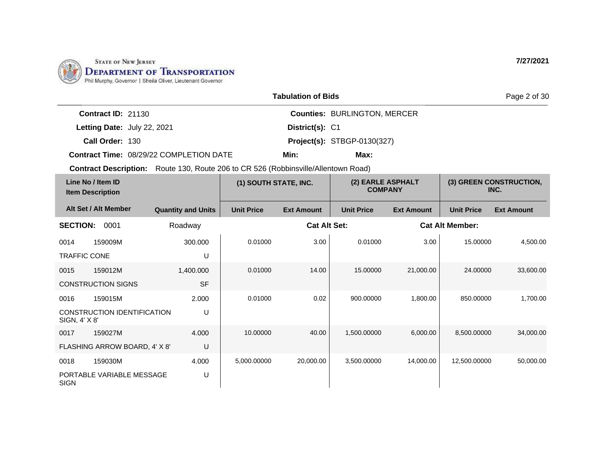

|                                              |                                                                                           |                   | <b>Tabulation of Bids</b> |                   |                                     |                        | Page 2 of 30                    |
|----------------------------------------------|-------------------------------------------------------------------------------------------|-------------------|---------------------------|-------------------|-------------------------------------|------------------------|---------------------------------|
|                                              | <b>Counties: BURLINGTON, MERCER</b><br><b>Contract ID: 21130</b>                          |                   |                           |                   |                                     |                        |                                 |
|                                              | District(s): C1<br>Letting Date: July 22, 2021                                            |                   |                           |                   |                                     |                        |                                 |
|                                              | Call Order: 130<br><b>Project(s): STBGP-0130(327)</b>                                     |                   |                           |                   |                                     |                        |                                 |
|                                              | <b>Contract Time: 08/29/22 COMPLETION DATE</b><br>Min:<br>Max:                            |                   |                           |                   |                                     |                        |                                 |
|                                              | <b>Contract Description:</b> Route 130, Route 206 to CR 526 (Robbinsville/Allentown Road) |                   |                           |                   |                                     |                        |                                 |
| Line No / Item ID<br><b>Item Description</b> |                                                                                           |                   | (1) SOUTH STATE, INC.     |                   | (2) EARLE ASPHALT<br><b>COMPANY</b> |                        | (3) GREEN CONSTRUCTION,<br>INC. |
| Alt Set / Alt Member                         | <b>Quantity and Units</b>                                                                 | <b>Unit Price</b> | <b>Ext Amount</b>         | <b>Unit Price</b> | <b>Ext Amount</b>                   | <b>Unit Price</b>      | <b>Ext Amount</b>               |
| <b>SECTION:</b><br>0001                      | Roadway                                                                                   |                   | <b>Cat Alt Set:</b>       |                   |                                     | <b>Cat Alt Member:</b> |                                 |

| <b>Item Description</b> |                               |                           | $(1)$ 000111 011116, 1110. |                     | (<br><b>COMPANY</b> |                   | $(9)$ sizes to         | ,,,,,,,,,,,,,,,,<br>INC. |
|-------------------------|-------------------------------|---------------------------|----------------------------|---------------------|---------------------|-------------------|------------------------|--------------------------|
|                         | Alt Set / Alt Member          | <b>Quantity and Units</b> | <b>Unit Price</b>          | <b>Ext Amount</b>   | <b>Unit Price</b>   | <b>Ext Amount</b> | <b>Unit Price</b>      | <b>Ext Amount</b>        |
| <b>SECTION:</b>         | 0001                          | Roadway                   |                            | <b>Cat Alt Set:</b> |                     |                   | <b>Cat Alt Member:</b> |                          |
| 0014                    | 159009M                       | 300.000                   | 0.01000                    | 3.00                | 0.01000             | 3.00              | 15.00000               | 4,500.00                 |
| <b>TRAFFIC CONE</b>     |                               | U                         |                            |                     |                     |                   |                        |                          |
| 0015                    | 159012M                       | 1,400.000                 | 0.01000                    | 14.00               | 15.00000            | 21,000.00         | 24.00000               | 33,600.00                |
|                         | <b>CONSTRUCTION SIGNS</b>     | <b>SF</b>                 |                            |                     |                     |                   |                        |                          |
| 0016                    | 159015M                       | 2.000                     | 0.01000                    | 0.02                | 900.00000           | 1,800.00          | 850.00000              | 1,700.00                 |
| SIGN, 4' X 8'           | CONSTRUCTION IDENTIFICATION   | U                         |                            |                     |                     |                   |                        |                          |
| 0017                    | 159027M                       | 4.000                     | 10.00000                   | 40.00               | 1,500.00000         | 6,000.00          | 8,500.00000            | 34,000.00                |
|                         | FLASHING ARROW BOARD, 4' X 8' | U                         |                            |                     |                     |                   |                        |                          |
| 0018                    | 159030M                       | 4.000                     | 5,000.00000                | 20,000.00           | 3,500.00000         | 14,000.00         | 12,500.00000           | 50,000.00                |
| <b>SIGN</b>             | PORTABLE VARIABLE MESSAGE     | U                         |                            |                     |                     |                   |                        |                          |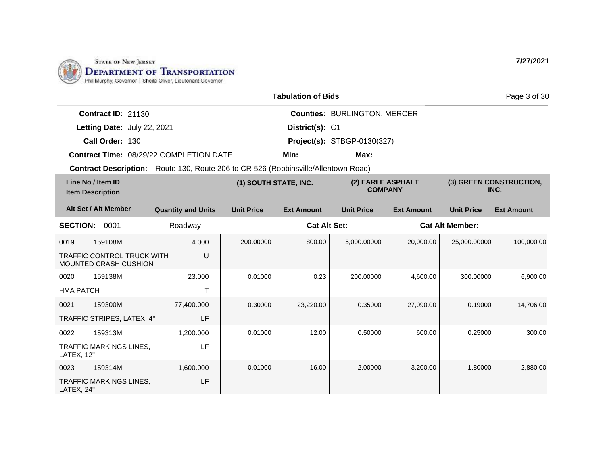

|                                         | <b>Tabulation of Bids</b> |                                     |
|-----------------------------------------|---------------------------|-------------------------------------|
| <b>Contract ID: 21130</b>               |                           | <b>Counties: BURLINGTON, MERCER</b> |
| Letting Date: July 22, 2021             | District(s): C1           |                                     |
| Call Order: 130                         |                           | <b>Project(s): STBGP-0130(327)</b>  |
| Contract Time: 08/29/22 COMPLETION DATE | Min:                      | Max:                                |

**Contract Description:** Route 130, Route 206 to CR 526 (Robbinsville/Allentown Road)

| Line No / Item ID<br><b>Item Description</b> |                                                                   | (1) SOUTH STATE, INC.     |                   | (2) EARLE ASPHALT<br><b>COMPANY</b> |                   |                   | (3) GREEN CONSTRUCTION,<br>INC.<br><b>Ext Amount</b><br>100,000.00 |           |
|----------------------------------------------|-------------------------------------------------------------------|---------------------------|-------------------|-------------------------------------|-------------------|-------------------|--------------------------------------------------------------------|-----------|
|                                              | Alt Set / Alt Member                                              | <b>Quantity and Units</b> | <b>Unit Price</b> | <b>Ext Amount</b>                   | <b>Unit Price</b> | <b>Ext Amount</b> | <b>Unit Price</b>                                                  |           |
| <b>SECTION:</b>                              | 0001                                                              | Roadway                   |                   | <b>Cat Alt Set:</b>                 |                   |                   | <b>Cat Alt Member:</b>                                             |           |
| 0019                                         | 159108M                                                           | 4.000                     | 200.00000         | 800.00                              | 5,000.00000       | 20,000.00         | 25,000.00000                                                       |           |
|                                              | <b>TRAFFIC CONTROL TRUCK WITH</b><br><b>MOUNTED CRASH CUSHION</b> | U                         |                   |                                     |                   |                   |                                                                    |           |
| 0020                                         | 159138M                                                           | 23,000                    | 0.01000           | 0.23                                | 200.00000         | 4,600.00          | 300.00000                                                          | 6,900.00  |
| <b>HMA PATCH</b>                             |                                                                   | Т                         |                   |                                     |                   |                   |                                                                    |           |
| 0021                                         | 159300M                                                           | 77,400.000                | 0.30000           | 23,220.00                           | 0.35000           | 27,090.00         | 0.19000                                                            | 14,706.00 |
|                                              | TRAFFIC STRIPES, LATEX, 4"                                        | LF                        |                   |                                     |                   |                   |                                                                    |           |
| 0022                                         | 159313M                                                           | 1,200.000                 | 0.01000           | 12.00                               | 0.50000           | 600.00            | 0.25000                                                            | 300.00    |
| LATEX, 12"                                   | <b>TRAFFIC MARKINGS LINES,</b>                                    | LF                        |                   |                                     |                   |                   |                                                                    |           |
| 0023                                         | 159314M                                                           | 1,600.000                 | 0.01000           | 16.00                               | 2.00000           | 3,200.00          | 1.80000                                                            | 2,880.00  |
| LATEX, 24"                                   | TRAFFIC MARKINGS LINES,                                           | LF                        |                   |                                     |                   |                   |                                                                    |           |

Page 3 of 30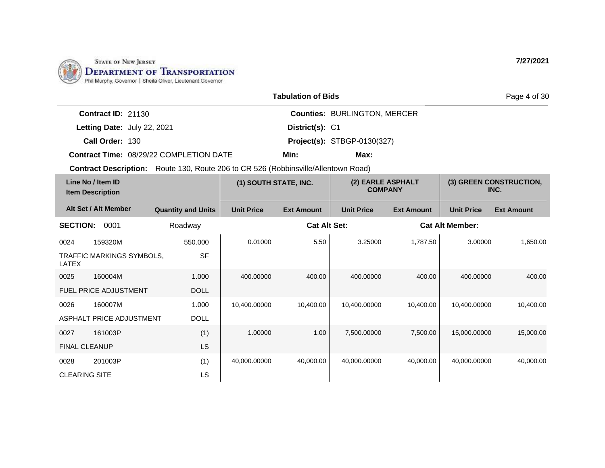

|                           |                                                                                           | <b>Tabulation of Bids</b> |                                     | Page 4 of 30 |
|---------------------------|-------------------------------------------------------------------------------------------|---------------------------|-------------------------------------|--------------|
| <b>Contract ID: 21130</b> |                                                                                           |                           | <b>Counties: BURLINGTON, MERCER</b> |              |
|                           | Letting Date: July 22, 2021                                                               | District(s): C1           |                                     |              |
| Call Order: 130           |                                                                                           |                           | <b>Project(s): STBGP-0130(327)</b>  |              |
|                           | <b>Contract Time: 08/29/22 COMPLETION DATE</b>                                            | Min:                      | Max:                                |              |
|                           | <b>Contract Description:</b> Route 130, Route 206 to CR 526 (Robbinsville/Allentown Road) |                           |                                     |              |

| Line No / Item ID<br><b>Item Description</b> |                              | (1) SOUTH STATE, INC.     |                   | (2) EARLE ASPHALT<br><b>COMPANY</b> |                   |                   | (3) GREEN CONSTRUCTION,<br>INC. |                   |
|----------------------------------------------|------------------------------|---------------------------|-------------------|-------------------------------------|-------------------|-------------------|---------------------------------|-------------------|
|                                              | Alt Set / Alt Member         | <b>Quantity and Units</b> | <b>Unit Price</b> | <b>Ext Amount</b>                   | <b>Unit Price</b> | <b>Ext Amount</b> | <b>Unit Price</b>               | <b>Ext Amount</b> |
| <b>SECTION:</b>                              | 0001                         | Roadway                   |                   | <b>Cat Alt Set:</b>                 |                   |                   | <b>Cat Alt Member:</b>          |                   |
| 0024                                         | 159320M                      | 550.000                   | 0.01000           | 5.50                                | 3.25000           | 1,787.50          | 3.00000                         | 1,650.00          |
| LATEX                                        | TRAFFIC MARKINGS SYMBOLS,    | <b>SF</b>                 |                   |                                     |                   |                   |                                 |                   |
| 0025                                         | 160004M                      | 1.000                     | 400.00000         | 400.00                              | 400.00000         | 400.00            | 400.00000                       | 400.00            |
|                                              | <b>FUEL PRICE ADJUSTMENT</b> | <b>DOLL</b>               |                   |                                     |                   |                   |                                 |                   |
| 0026                                         | 160007M                      | 1.000                     | 10,400.00000      | 10,400.00                           | 10,400.00000      | 10,400.00         | 10,400.00000                    | 10,400.00         |
|                                              | ASPHALT PRICE ADJUSTMENT     | <b>DOLL</b>               |                   |                                     |                   |                   |                                 |                   |
| 0027                                         | 161003P                      | (1)                       | 1.00000           | 1.00                                | 7,500.00000       | 7,500.00          | 15,000.00000                    | 15,000.00         |
| <b>FINAL CLEANUP</b>                         |                              | LS                        |                   |                                     |                   |                   |                                 |                   |
| 0028                                         | 201003P                      | (1)                       | 40,000.00000      | 40,000.00                           | 40,000.00000      | 40,000.00         | 40,000.00000                    | 40,000.00         |
| <b>CLEARING SITE</b>                         |                              | LS                        |                   |                                     |                   |                   |                                 |                   |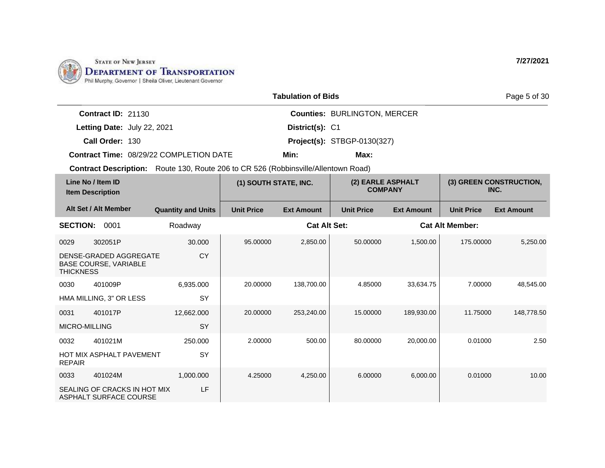

| <b>Tabulation of Bids</b> |  |
|---------------------------|--|
|---------------------------|--|

| 7/27/2021 |  |
|-----------|--|
|           |  |

Page 5 of 30

**Call Order: Letting Date:** July 22, 2021 **District(s): C1 Contract ID:** 21130 **District(s): Counties:** BURLINGTON, MERCER 130 **Project(s):** STBGP-0130(327) **Contract Time:** 08/29/22 COMPLETION DATE **Min: Max:**

| Line No / Item ID<br><b>Item Description</b> |                                                        | (1) SOUTH STATE, INC.     |                   | (2) EARLE ASPHALT<br><b>COMPANY</b> |                   |                   | (3) GREEN CONSTRUCTION,<br>INC. |                   |
|----------------------------------------------|--------------------------------------------------------|---------------------------|-------------------|-------------------------------------|-------------------|-------------------|---------------------------------|-------------------|
|                                              | Alt Set / Alt Member                                   | <b>Quantity and Units</b> | <b>Unit Price</b> | <b>Ext Amount</b>                   | <b>Unit Price</b> | <b>Ext Amount</b> | <b>Unit Price</b>               | <b>Ext Amount</b> |
| <b>SECTION:</b>                              | 0001                                                   | Roadway                   |                   | <b>Cat Alt Set:</b>                 |                   |                   | <b>Cat Alt Member:</b>          |                   |
| 0029                                         | 302051P                                                | 30,000                    | 95.00000          | 2,850.00                            | 50.00000          | 1,500.00          | 175.00000                       | 5,250.00          |
| <b>THICKNESS</b>                             | DENSE-GRADED AGGREGATE<br><b>BASE COURSE, VARIABLE</b> | <b>CY</b>                 |                   |                                     |                   |                   |                                 |                   |
| 0030                                         | 401009P                                                | 6,935.000                 | 20.00000          | 138,700.00                          | 4.85000           | 33,634.75         | 7.00000                         | 48,545.00         |
|                                              | HMA MILLING, 3" OR LESS                                | <b>SY</b>                 |                   |                                     |                   |                   |                                 |                   |
| 0031                                         | 401017P                                                | 12,662.000                | 20.00000          | 253,240.00                          | 15.00000          | 189,930.00        | 11.75000                        | 148,778.50        |
| <b>MICRO-MILLING</b>                         |                                                        | <b>SY</b>                 |                   |                                     |                   |                   |                                 |                   |
| 0032                                         | 401021M                                                | 250.000                   | 2.00000           | 500.00                              | 80.00000          | 20,000.00         | 0.01000                         | 2.50              |
| <b>REPAIR</b>                                | HOT MIX ASPHALT PAVEMENT                               | SY                        |                   |                                     |                   |                   |                                 |                   |
| 0033                                         | 401024M                                                | 1,000.000                 | 4.25000           | 4,250.00                            | 6.00000           | 6,000.00          | 0.01000                         | 10.00             |
|                                              | SEALING OF CRACKS IN HOT MIX<br>ASPHALT SURFACE COURSE | LF                        |                   |                                     |                   |                   |                                 |                   |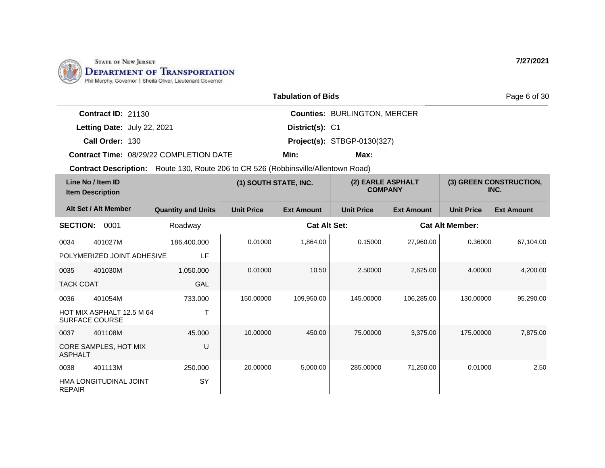

HOT MIX ASPHALT 12.5 M 64

CORE SAMPLES, HOT MIX

HMA LONGITUDINAL JOINT

T

U

SY

45.000

250.000

SURFACE COURSE

0037 401108M

0038 401113M

ASPHALT

REPAIR

|                  |                                              |                                                                                           |                       | <b>Tabulation of Bids</b> |                                     |                   |                        | Page 6 of 30                    |
|------------------|----------------------------------------------|-------------------------------------------------------------------------------------------|-----------------------|---------------------------|-------------------------------------|-------------------|------------------------|---------------------------------|
|                  | <b>Contract ID: 21130</b>                    |                                                                                           |                       |                           | <b>Counties: BURLINGTON, MERCER</b> |                   |                        |                                 |
|                  | Letting Date: July 22, 2021                  |                                                                                           |                       | District(s): C1           |                                     |                   |                        |                                 |
|                  | Call Order: 130                              |                                                                                           |                       |                           | <b>Project(s): STBGP-0130(327)</b>  |                   |                        |                                 |
|                  |                                              | <b>Contract Time: 08/29/22 COMPLETION DATE</b>                                            |                       | Min:                      | Max:                                |                   |                        |                                 |
|                  |                                              | <b>Contract Description:</b> Route 130, Route 206 to CR 526 (Robbinsville/Allentown Road) |                       |                           |                                     |                   |                        |                                 |
|                  | Line No / Item ID<br><b>Item Description</b> |                                                                                           | (1) SOUTH STATE, INC. |                           | (2) EARLE ASPHALT<br><b>COMPANY</b> |                   |                        | (3) GREEN CONSTRUCTION,<br>INC. |
|                  | Alt Set / Alt Member                         | <b>Quantity and Units</b>                                                                 | <b>Unit Price</b>     | <b>Ext Amount</b>         | <b>Unit Price</b>                   | <b>Ext Amount</b> | <b>Unit Price</b>      | <b>Ext Amount</b>               |
| <b>SECTION:</b>  | 0001                                         | Roadway                                                                                   |                       | <b>Cat Alt Set:</b>       |                                     |                   | <b>Cat Alt Member:</b> |                                 |
| 0034             | 401027M                                      | 186,400.000                                                                               | 0.01000               | 1,864.00                  | 0.15000                             | 27,960.00         | 0.36000                | 67,104.00                       |
|                  | POLYMERIZED JOINT ADHESIVE                   | LF                                                                                        |                       |                           |                                     |                   |                        |                                 |
| 0035             | 401030M                                      | 1,050.000                                                                                 | 0.01000               | 10.50                     | 2.50000                             | 2,625.00          | 4.00000                | 4,200.00                        |
| <b>TACK COAT</b> |                                              | <b>GAL</b>                                                                                |                       |                           |                                     |                   |                        |                                 |
| 0036             | 401054M                                      | 733,000                                                                                   | 150.00000             | 109,950.00                | 145.00000                           | 106,285.00        | 130.00000              | 95,290.00                       |

10.00000 450.00 75.00000 3,375.00 175.00000 7,875.00

20.00000 5,000.00 285.00000 71,250.00 0.01000 2.50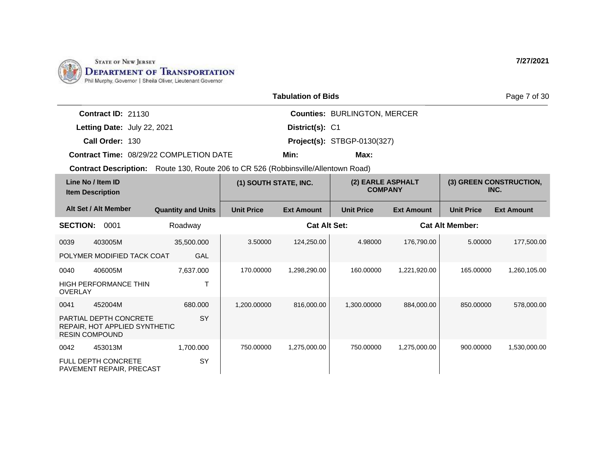

HIGH PERFORMANCE THIN

PARTIAL DEPTH CONCRETE REPAIR, HOT APPLIED SYNTHETIC

0041 452004M

RESIN COMPOUND

0042 453013M

FULL DEPTH CONCRETE PAVEMENT REPAIR, PRECAST

OVERLAY

|                 |                                              |                                                                                           |                       | <b>Tabulation of Bids</b> |                                     |                   |                        | Page 7 of 30                    |
|-----------------|----------------------------------------------|-------------------------------------------------------------------------------------------|-----------------------|---------------------------|-------------------------------------|-------------------|------------------------|---------------------------------|
|                 | <b>Contract ID: 21130</b>                    |                                                                                           |                       |                           | <b>Counties: BURLINGTON, MERCER</b> |                   |                        |                                 |
|                 | Letting Date: July 22, 2021                  |                                                                                           |                       | District(s): C1           |                                     |                   |                        |                                 |
|                 | Call Order: 130                              |                                                                                           |                       |                           | <b>Project(s): STBGP-0130(327)</b>  |                   |                        |                                 |
|                 |                                              | Contract Time: 08/29/22 COMPLETION DATE                                                   |                       | Min:                      | Max:                                |                   |                        |                                 |
|                 |                                              | <b>Contract Description:</b> Route 130, Route 206 to CR 526 (Robbinsville/Allentown Road) |                       |                           |                                     |                   |                        |                                 |
|                 | Line No / Item ID<br><b>Item Description</b> |                                                                                           | (1) SOUTH STATE, INC. |                           | (2) EARLE ASPHALT<br><b>COMPANY</b> |                   |                        | (3) GREEN CONSTRUCTION,<br>INC. |
|                 | Alt Set / Alt Member                         | <b>Quantity and Units</b>                                                                 | <b>Unit Price</b>     | <b>Ext Amount</b>         | <b>Unit Price</b>                   | <b>Ext Amount</b> | <b>Unit Price</b>      | <b>Ext Amount</b>               |
| <b>SECTION:</b> | 0001                                         | Roadway                                                                                   |                       | <b>Cat Alt Set:</b>       |                                     |                   | <b>Cat Alt Member:</b> |                                 |
| 0039            | 403005M                                      | 35,500.000                                                                                | 3.50000               | 124,250.00                | 4.98000                             | 176,790.00        | 5.00000                | 177,500.00                      |
|                 | POLYMER MODIFIED TACK COAT                   | <b>GAL</b>                                                                                |                       |                           |                                     |                   |                        |                                 |
| 0040            | 406005M                                      | 7,637.000                                                                                 | 170,00000             | 1,298,290.00              | 160.00000                           | 1,221,920.00      | 165.00000              | 1,260,105.00                    |

1,200.00000 816,000.00 1,300.00000 884,000.00 850.00000 578,000.00

750.00000 1,275,000.00 750.00000 1,275,000.00 900.00000 1,530,000.00

T

**SY** 

SY

680.000

1,700.000

**7/27/2021**

30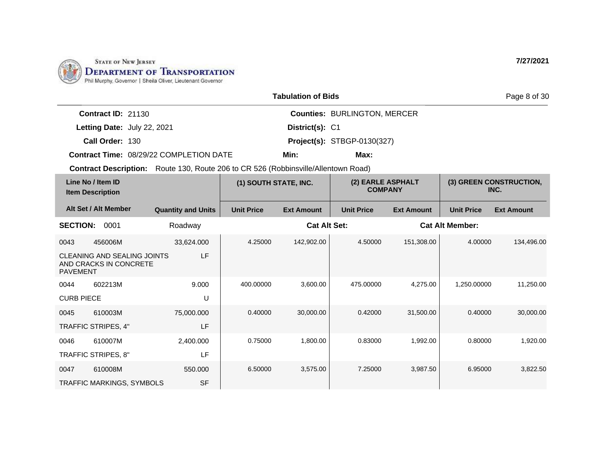

| <b>Tabulation of Bids</b> |
|---------------------------|
|---------------------------|

**District(s):**

**Min: Max:**

**Counties:** BURLINGTON, MERCER

**Contract ID:** 21130

**Letting Date:** July 22, 2021 **District(s): C1** 

**Call Order:** 130 **Project(s):** STBGP-0130(327)

**Contract Time:** 08/29/22 COMPLETION DATE

**Contract Description:** Route 130, Route 206 to CR 526 (Robbinsville/Allentown Road)

| Line No / Item ID<br><b>Item Description</b> |                                                              | (1) SOUTH STATE, INC.     |                   | (2) EARLE ASPHALT<br><b>COMPANY</b> |                   | (3) GREEN CONSTRUCTION,<br>INC. |                        |                   |
|----------------------------------------------|--------------------------------------------------------------|---------------------------|-------------------|-------------------------------------|-------------------|---------------------------------|------------------------|-------------------|
|                                              | Alt Set / Alt Member                                         | <b>Quantity and Units</b> | <b>Unit Price</b> | <b>Ext Amount</b>                   | <b>Unit Price</b> | <b>Ext Amount</b>               | <b>Unit Price</b>      | <b>Ext Amount</b> |
| <b>SECTION:</b>                              | 0001                                                         | Roadway                   |                   | <b>Cat Alt Set:</b>                 |                   |                                 | <b>Cat Alt Member:</b> |                   |
| 0043                                         | 456006M                                                      | 33,624.000                | 4.25000           | 142,902.00                          | 4.50000           | 151,308.00                      | 4.00000                | 134,496.00        |
| <b>PAVEMENT</b>                              | <b>CLEANING AND SEALING JOINTS</b><br>AND CRACKS IN CONCRETE | LF                        |                   |                                     |                   |                                 |                        |                   |
| 0044                                         | 602213M                                                      | 9.000                     | 400.00000         | 3,600.00                            | 475.00000         | 4,275.00                        | 1,250.00000            | 11,250.00         |
| <b>CURB PIECE</b>                            |                                                              | U                         |                   |                                     |                   |                                 |                        |                   |
| 0045                                         | 610003M                                                      | 75,000.000                | 0.40000           | 30,000.00                           | 0.42000           | 31,500.00                       | 0.40000                | 30,000.00         |
|                                              | <b>TRAFFIC STRIPES, 4"</b>                                   | LF                        |                   |                                     |                   |                                 |                        |                   |
| 0046                                         | 610007M                                                      | 2,400.000                 | 0.75000           | 1,800.00                            | 0.83000           | 1,992.00                        | 0.80000                | 1,920.00          |
|                                              | TRAFFIC STRIPES, 8"                                          | LF                        |                   |                                     |                   |                                 |                        |                   |
| 0047                                         | 610008M                                                      | 550.000                   | 6.50000           | 3,575.00                            | 7.25000           | 3,987.50                        | 6.95000                | 3,822.50          |
|                                              | <b>TRAFFIC MARKINGS, SYMBOLS</b>                             | <b>SF</b>                 |                   |                                     |                   |                                 |                        |                   |

**7/27/2021**

Page 8 of 30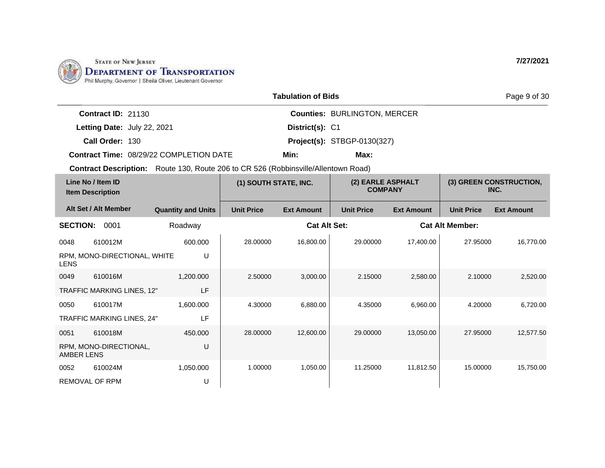

|                             |                                                | <b>Tabulation of Bids</b> |                                     | Page 9 of 30 |
|-----------------------------|------------------------------------------------|---------------------------|-------------------------------------|--------------|
| <b>Contract ID: 21130</b>   |                                                |                           | <b>Counties: BURLINGTON, MERCER</b> |              |
| Letting Date: July 22, 2021 |                                                | District(s): C1           |                                     |              |
| Call Order: 130             |                                                |                           | <b>Project(s): STBGP-0130(327)</b>  |              |
|                             | <b>Contract Time: 08/29/22 COMPLETION DATE</b> | Min:                      | Max:                                |              |
|                             |                                                |                           |                                     |              |

**Contract Description:** Route 130, Route 206 to CR 526 (Robbinsville/Allentown Road)

| Line No / Item ID<br><b>Item Description</b> |                                   | (1) SOUTH STATE, INC.     |                   | (2) EARLE ASPHALT<br><b>COMPANY</b> |                   | (3) GREEN CONSTRUCTION,<br>INC. |                        |                   |
|----------------------------------------------|-----------------------------------|---------------------------|-------------------|-------------------------------------|-------------------|---------------------------------|------------------------|-------------------|
|                                              | Alt Set / Alt Member              | <b>Quantity and Units</b> | <b>Unit Price</b> | <b>Ext Amount</b>                   | <b>Unit Price</b> | <b>Ext Amount</b>               | <b>Unit Price</b>      | <b>Ext Amount</b> |
| <b>SECTION:</b>                              | 0001                              | Roadway                   |                   | <b>Cat Alt Set:</b>                 |                   |                                 | <b>Cat Alt Member:</b> |                   |
| 0048                                         | 610012M                           | 600.000                   | 28.00000          | 16,800.00                           | 29,00000          | 17,400.00                       | 27.95000               | 16,770.00         |
| <b>LENS</b>                                  | RPM, MONO-DIRECTIONAL, WHITE      | U                         |                   |                                     |                   |                                 |                        |                   |
| 0049                                         | 610016M                           | 1,200.000                 | 2.50000           | 3,000.00                            | 2.15000           | 2,580.00                        | 2.10000                | 2,520.00          |
|                                              | TRAFFIC MARKING LINES, 12"        | LF                        |                   |                                     |                   |                                 |                        |                   |
| 0050                                         | 610017M                           | 1,600.000                 | 4.30000           | 6,880.00                            | 4.35000           | 6,960.00                        | 4.20000                | 6,720.00          |
|                                              | <b>TRAFFIC MARKING LINES, 24"</b> | LF                        |                   |                                     |                   |                                 |                        |                   |
| 0051                                         | 610018M                           | 450.000                   | 28.00000          | 12,600.00                           | 29.00000          | 13,050.00                       | 27.95000               | 12,577.50         |
| <b>AMBER LENS</b>                            | RPM, MONO-DIRECTIONAL,            | U                         |                   |                                     |                   |                                 |                        |                   |
| 0052                                         | 610024M                           | 1,050.000                 | 1.00000           | 1,050.00                            | 11.25000          | 11,812.50                       | 15.00000               | 15,750.00         |
| <b>REMOVAL OF RPM</b>                        |                                   | U                         |                   |                                     |                   |                                 |                        |                   |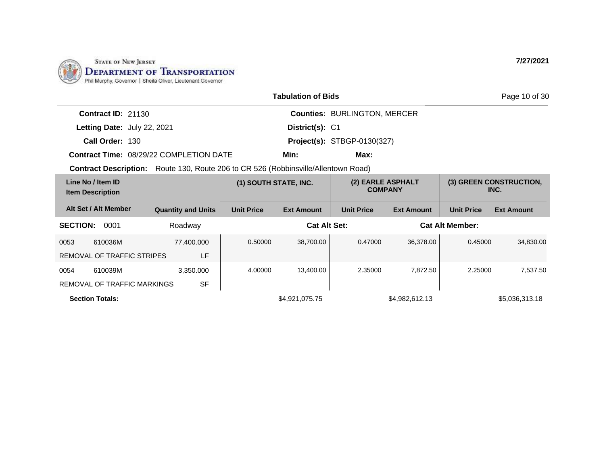

|                                              |                                                                                    |                       | <b>Tabulation of Bids</b> |                                     |                   |                        | Page 10 of 30                   |
|----------------------------------------------|------------------------------------------------------------------------------------|-----------------------|---------------------------|-------------------------------------|-------------------|------------------------|---------------------------------|
| <b>Contract ID: 21130</b>                    |                                                                                    |                       |                           | <b>Counties: BURLINGTON, MERCER</b> |                   |                        |                                 |
| Letting Date: July 22, 2021                  |                                                                                    |                       | District(s): C1           |                                     |                   |                        |                                 |
| Call Order: 130                              |                                                                                    |                       |                           | <b>Project(s): STBGP-0130(327)</b>  |                   |                        |                                 |
|                                              | Contract Time: 08/29/22 COMPLETION DATE                                            |                       | Min:                      | Max:                                |                   |                        |                                 |
|                                              | Contract Description: Route 130, Route 206 to CR 526 (Robbinsville/Allentown Road) |                       |                           |                                     |                   |                        |                                 |
| Line No / Item ID<br><b>Item Description</b> |                                                                                    | (1) SOUTH STATE, INC. |                           | <b>COMPANY</b>                      | (2) EARLE ASPHALT |                        | (3) GREEN CONSTRUCTION,<br>INC. |
| Alt Set / Alt Member                         | <b>Quantity and Units</b>                                                          | <b>Unit Price</b>     | <b>Ext Amount</b>         | <b>Unit Price</b>                   | <b>Ext Amount</b> | <b>Unit Price</b>      | <b>Ext Amount</b>               |
| <b>SECTION:</b><br>0001                      | Roadway                                                                            |                       | <b>Cat Alt Set:</b>       |                                     |                   | <b>Cat Alt Member:</b> |                                 |
| 610036M<br>0053                              | 77,400.000                                                                         | 0.50000               | 38,700.00                 | 0.47000                             | 36,378.00         | 0.45000                | 34,830.00                       |
| REMOVAL OF TRAFFIC STRIPES                   | LF                                                                                 |                       |                           |                                     |                   |                        |                                 |
| 610039M<br>0054                              | 3,350.000                                                                          | 4.00000               | 13,400.00                 | 2.35000                             | 7,872.50          | 2.25000                | 7,537.50                        |
| REMOVAL OF TRAFFIC MARKINGS                  | <b>SF</b>                                                                          |                       |                           |                                     |                   |                        |                                 |

**Section Totals: Section Totals: \$4,921,075.75** \$4,921,075.75 \$4,982,612.13 \$5,036,313.18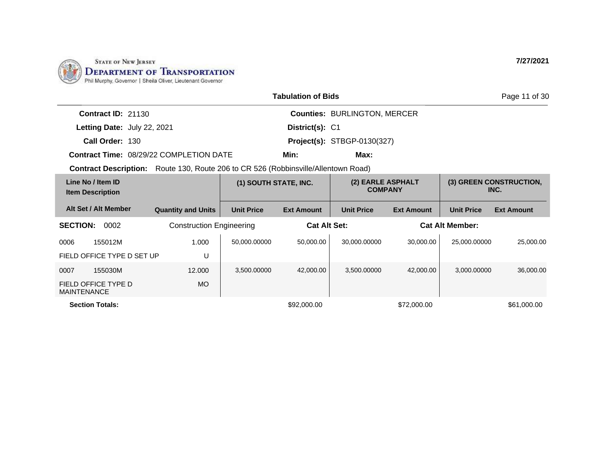

|                                                                                           |                                 |                       | <b>Tabulation of Bids</b> |                                     |                   |                        | Page 11 of 30                   |
|-------------------------------------------------------------------------------------------|---------------------------------|-----------------------|---------------------------|-------------------------------------|-------------------|------------------------|---------------------------------|
| <b>Contract ID: 21130</b>                                                                 |                                 |                       |                           | <b>Counties: BURLINGTON, MERCER</b> |                   |                        |                                 |
| Letting Date: July 22, 2021                                                               |                                 |                       | District(s): C1           |                                     |                   |                        |                                 |
| Call Order: 130                                                                           |                                 |                       |                           | <b>Project(s): STBGP-0130(327)</b>  |                   |                        |                                 |
| <b>Contract Time: 08/29/22 COMPLETION DATE</b>                                            |                                 |                       | Min:                      | Max:                                |                   |                        |                                 |
| <b>Contract Description:</b> Route 130, Route 206 to CR 526 (Robbinsville/Allentown Road) |                                 |                       |                           |                                     |                   |                        |                                 |
| Line No / Item ID<br><b>Item Description</b>                                              |                                 | (1) SOUTH STATE, INC. |                           | (2) EARLE ASPHALT<br><b>COMPANY</b> |                   |                        | (3) GREEN CONSTRUCTION,<br>INC. |
| Alt Set / Alt Member                                                                      | <b>Quantity and Units</b>       | <b>Unit Price</b>     | <b>Ext Amount</b>         | <b>Unit Price</b>                   | <b>Ext Amount</b> | <b>Unit Price</b>      | <b>Ext Amount</b>               |
| <b>SECTION:</b><br>0002                                                                   | <b>Construction Engineering</b> |                       | <b>Cat Alt Set:</b>       |                                     |                   | <b>Cat Alt Member:</b> |                                 |
| 0006<br>155012M                                                                           | 1.000                           | 50,000.00000          | 50,000.00                 | 30,000.00000                        | 30,000.00         | 25,000.00000           | 25,000.00                       |
| FIELD OFFICE TYPE D SET UP                                                                | U                               |                       |                           |                                     |                   |                        |                                 |
| 155030M<br>0007                                                                           | 12.000                          | 3,500.00000           | 42,000.00                 | 3.500.00000                         | 42,000.00         | 3.000.00000            | 36,000.00                       |
| FIELD OFFICE TYPE D<br><b>MAINTENANCE</b>                                                 | <b>MO</b>                       |                       |                           |                                     |                   |                        |                                 |
| <b>Section Totals:</b>                                                                    |                                 |                       | \$92,000.00               |                                     | \$72,000.00       |                        | \$61,000.00                     |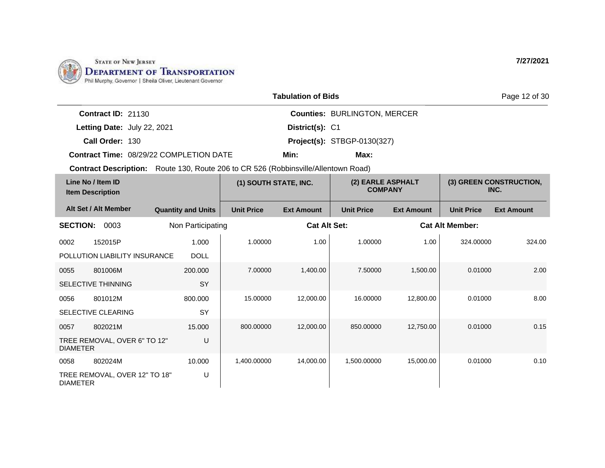

DIAMETER

|                                                                                    |                           |                       | <b>Tabulation of Bids</b> |                                     |                   |                        | Page 12 of 30                   |
|------------------------------------------------------------------------------------|---------------------------|-----------------------|---------------------------|-------------------------------------|-------------------|------------------------|---------------------------------|
| Contract ID: 21130                                                                 |                           |                       |                           | <b>Counties: BURLINGTON, MERCER</b> |                   |                        |                                 |
| Letting Date: July 22, 2021                                                        |                           |                       | District(s): C1           |                                     |                   |                        |                                 |
| Call Order: 130                                                                    |                           |                       |                           | <b>Project(s): STBGP-0130(327)</b>  |                   |                        |                                 |
| <b>Contract Time: 08/29/22 COMPLETION DATE</b>                                     |                           |                       | Min:                      | Max:                                |                   |                        |                                 |
| Contract Description: Route 130, Route 206 to CR 526 (Robbinsville/Allentown Road) |                           |                       |                           |                                     |                   |                        |                                 |
| Line No / Item ID<br><b>Item Description</b>                                       |                           | (1) SOUTH STATE, INC. |                           | (2) EARLE ASPHALT<br><b>COMPANY</b> |                   |                        | (3) GREEN CONSTRUCTION,<br>INC. |
| Alt Set / Alt Member                                                               | <b>Quantity and Units</b> | <b>Unit Price</b>     | <b>Ext Amount</b>         | <b>Unit Price</b>                   | <b>Ext Amount</b> | <b>Unit Price</b>      | <b>Ext Amount</b>               |
| <b>SECTION:</b><br>0003                                                            | Non Participating         |                       | <b>Cat Alt Set:</b>       |                                     |                   | <b>Cat Alt Member:</b> |                                 |
| 152015P<br>0002                                                                    | 1.000                     | 1.00000               | 1.00                      | 1.00000                             | 1.00              | 324.00000              | 324.00                          |
| POLLUTION LIABILITY INSURANCE                                                      | <b>DOLL</b>               |                       |                           |                                     |                   |                        |                                 |
| 801006M<br>0055                                                                    | 200.000                   | 7.00000               | 1.400.00                  | 7.50000                             | 1,500.00          | 0.01000                | 2.00                            |
| <b>SELECTIVE THINNING</b>                                                          | SY                        |                       |                           |                                     |                   |                        |                                 |
| 801012M<br>0056                                                                    | 800.000                   | 15.00000              | 12,000.00                 | 16.00000                            | 12,800.00         | 0.01000                | 8.00                            |
| SELECTIVE CLEARING                                                                 | SY                        |                       |                           |                                     |                   |                        |                                 |
| 802021M<br>0057                                                                    | 15.000                    | 800.00000             | 12,000.00                 | 850.00000                           | 12,750.00         | 0.01000                | 0.15                            |
| TREE REMOVAL, OVER 6" TO 12"<br><b>DIAMETER</b>                                    | U                         |                       |                           |                                     |                   |                        |                                 |
| 802024M<br>0058                                                                    | 10.000                    | 1,400.00000           | 14,000.00                 | 1,500.00000                         | 15,000.00         | 0.01000                | 0.10                            |
| TREE REMOVAL, OVER 12" TO 18"                                                      | U                         |                       |                           |                                     |                   |                        |                                 |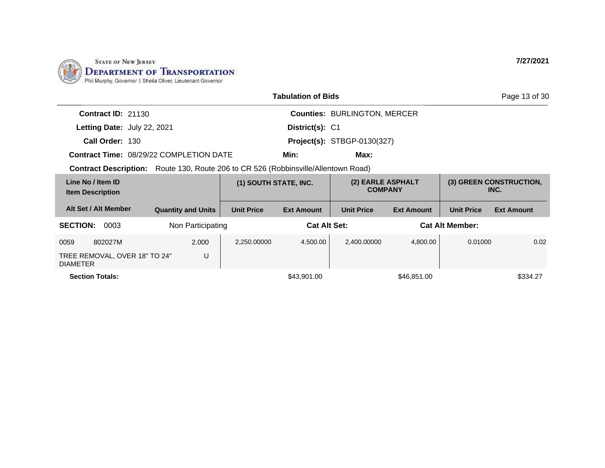

|                                                  |                                                                                           |                       | <b>Tabulation of Bids</b>          |                                     |                   |                        | Page 13 of 30                   |
|--------------------------------------------------|-------------------------------------------------------------------------------------------|-----------------------|------------------------------------|-------------------------------------|-------------------|------------------------|---------------------------------|
| <b>Contract ID: 21130</b>                        |                                                                                           |                       |                                    | <b>Counties: BURLINGTON, MERCER</b> |                   |                        |                                 |
| Letting Date: July 22, 2021                      |                                                                                           |                       | District(s): C1                    |                                     |                   |                        |                                 |
| Call Order: 130                                  |                                                                                           |                       | <b>Project(s): STBGP-0130(327)</b> |                                     |                   |                        |                                 |
|                                                  | <b>Contract Time: 08/29/22 COMPLETION DATE</b>                                            |                       | Min:                               | Max:                                |                   |                        |                                 |
|                                                  | <b>Contract Description:</b> Route 130, Route 206 to CR 526 (Robbinsville/Allentown Road) |                       |                                    |                                     |                   |                        |                                 |
| Line No / Item ID<br><b>Item Description</b>     |                                                                                           | (1) SOUTH STATE, INC. |                                    | (2) EARLE ASPHALT<br><b>COMPANY</b> |                   |                        | (3) GREEN CONSTRUCTION,<br>INC. |
| Alt Set / Alt Member                             | <b>Quantity and Units</b>                                                                 | <b>Unit Price</b>     | <b>Ext Amount</b>                  | <b>Unit Price</b>                   | <b>Ext Amount</b> | <b>Unit Price</b>      | <b>Ext Amount</b>               |
| <b>SECTION:</b><br>0003                          | Non Participating                                                                         |                       | <b>Cat Alt Set:</b>                |                                     |                   | <b>Cat Alt Member:</b> |                                 |
| 0059<br>802027M                                  | 2.000                                                                                     | 2,250.00000           | 4,500.00                           | 2,400.00000                         | 4,800.00          | 0.01000                | 0.02                            |
| TREE REMOVAL, OVER 18" TO 24"<br><b>DIAMETER</b> | U                                                                                         |                       |                                    |                                     |                   |                        |                                 |
| <b>Section Totals:</b>                           |                                                                                           |                       | \$43,901.00                        |                                     | \$46,851.00       |                        | \$334.27                        |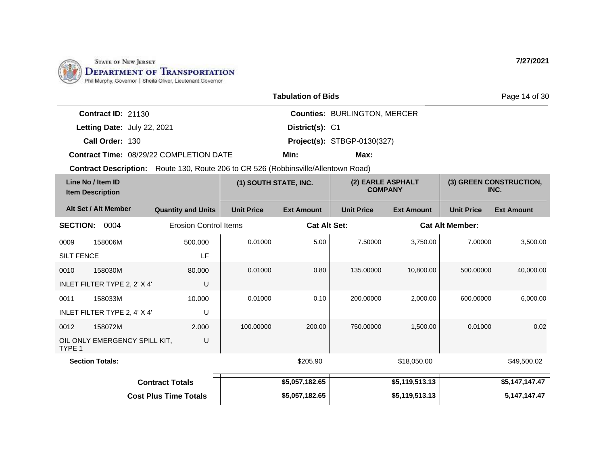

|                                                                                    |                              |                       | <b>Tabulation of Bids</b> |                                     |                   |                        | Page 14 of 30                   |
|------------------------------------------------------------------------------------|------------------------------|-----------------------|---------------------------|-------------------------------------|-------------------|------------------------|---------------------------------|
|                                                                                    |                              |                       |                           |                                     |                   |                        |                                 |
| Contract ID: 21130                                                                 |                              |                       |                           | <b>Counties: BURLINGTON, MERCER</b> |                   |                        |                                 |
| Letting Date: July 22, 2021                                                        |                              |                       | District(s): C1           |                                     |                   |                        |                                 |
| Call Order: 130                                                                    |                              |                       |                           | Project(s): STBGP-0130(327)         |                   |                        |                                 |
| <b>Contract Time: 08/29/22 COMPLETION DATE</b>                                     |                              |                       | Min:                      | Max:                                |                   |                        |                                 |
| Contract Description: Route 130, Route 206 to CR 526 (Robbinsville/Allentown Road) |                              |                       |                           |                                     |                   |                        |                                 |
| Line No / Item ID<br><b>Item Description</b>                                       |                              | (1) SOUTH STATE, INC. |                           | (2) EARLE ASPHALT<br><b>COMPANY</b> |                   |                        | (3) GREEN CONSTRUCTION,<br>INC. |
| Alt Set / Alt Member                                                               | <b>Quantity and Units</b>    | <b>Unit Price</b>     | <b>Ext Amount</b>         | <b>Unit Price</b>                   | <b>Ext Amount</b> | <b>Unit Price</b>      | <b>Ext Amount</b>               |
| <b>SECTION: 0004</b>                                                               | <b>Erosion Control Items</b> |                       | <b>Cat Alt Set:</b>       |                                     |                   | <b>Cat Alt Member:</b> |                                 |
| 158006M<br>0009                                                                    | 500.000                      | 0.01000               | 5.00                      | 7.50000                             | 3,750.00          | 7.00000                | 3,500.00                        |
| <b>SILT FENCE</b>                                                                  | LF                           |                       |                           |                                     |                   |                        |                                 |
| 0010<br>158030M                                                                    | 80.000                       | 0.01000               | 0.80                      | 135.00000                           | 10,800.00         | 500.00000              | 40,000.00                       |
| INLET FILTER TYPE 2, 2' X 4'                                                       | U                            |                       |                           |                                     |                   |                        |                                 |
| 158033M<br>0011                                                                    | 10.000                       | 0.01000               | 0.10                      | 200.00000                           | 2.000.00          | 600.00000              | 6,000.00                        |
| INLET FILTER TYPE 2, 4' X 4'                                                       | U                            |                       |                           |                                     |                   |                        |                                 |
| 0012<br>158072M                                                                    | 2.000                        | 100.00000             | 200.00                    | 750.00000                           | 1,500.00          | 0.01000                | 0.02                            |
| OIL ONLY EMERGENCY SPILL KIT,<br>TYPE 1                                            | U                            |                       |                           |                                     |                   |                        |                                 |
| <b>Section Totals:</b>                                                             |                              |                       | \$205.90                  |                                     | \$18,050.00       |                        | \$49,500.02                     |
|                                                                                    | <b>Contract Totals</b>       |                       | \$5,057,182.65            |                                     | \$5,119,513.13    |                        | \$5,147,147.47                  |
|                                                                                    | <b>Cost Plus Time Totals</b> |                       | \$5,057,182.65            |                                     | \$5,119,513.13    |                        | 5, 147, 147. 47                 |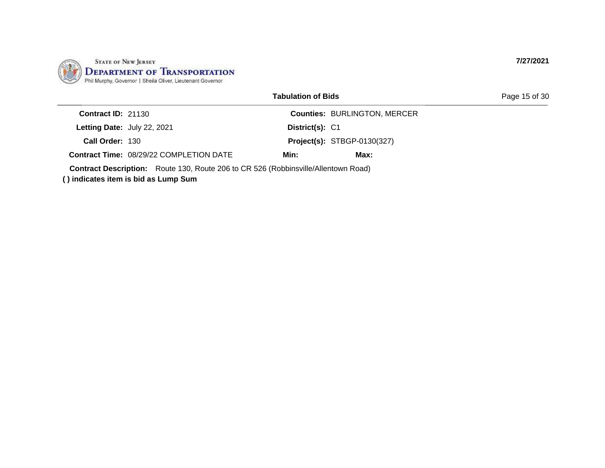

| <b>Tabulation of Bids</b> |  |
|---------------------------|--|
|---------------------------|--|

| <b>Contract ID: 21130</b> |                                                |                 | <b>Counties: BURLINGTON, MERCER</b> |  |
|---------------------------|------------------------------------------------|-----------------|-------------------------------------|--|
|                           | Letting Date: July 22, 2021                    | District(s): C1 |                                     |  |
| Call Order: 130           |                                                |                 | <b>Project(s): STBGP-0130(327)</b>  |  |
|                           | <b>Contract Time: 08/29/22 COMPLETION DATE</b> | Min:            | Max:                                |  |
|                           |                                                |                 |                                     |  |

**Contract Description:** Route 130, Route 206 to CR 526 (Robbinsville/Allentown Road)

**( ) indicates item is bid as Lump Sum**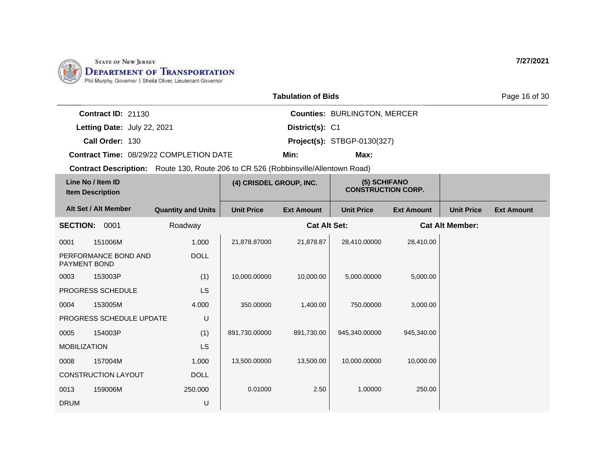

| <b>Tabulation of Bids</b> |  |  |
|---------------------------|--|--|
|---------------------------|--|--|

Page 16 of 30

**Call Order: Letting Date:** July 22, 2021 **District(s): C1 Contract ID:** 21130 **District(s): Counties:** BURLINGTON, MERCER 130 **Project(s):** STBGP-0130(327) **Contract Time:** 08/29/22 COMPLETION DATE **Min: Max:**

|                     | Line No / Item ID<br><b>Item Description</b> |                           | (4) CRISDEL GROUP, INC. |                     | (5) SCHIFANO<br><b>CONSTRUCTION CORP.</b> |                   |                        |                   |
|---------------------|----------------------------------------------|---------------------------|-------------------------|---------------------|-------------------------------------------|-------------------|------------------------|-------------------|
|                     | Alt Set / Alt Member                         | <b>Quantity and Units</b> | <b>Unit Price</b>       | <b>Ext Amount</b>   | <b>Unit Price</b>                         | <b>Ext Amount</b> | <b>Unit Price</b>      | <b>Ext Amount</b> |
| <b>SECTION:</b>     | 0001                                         | Roadway                   |                         | <b>Cat Alt Set:</b> |                                           |                   | <b>Cat Alt Member:</b> |                   |
| 0001                | 151006M                                      | 1.000                     | 21,878.87000            | 21,878.87           | 28,410.00000                              | 28,410.00         |                        |                   |
| PAYMENT BOND        | PERFORMANCE BOND AND                         | <b>DOLL</b>               |                         |                     |                                           |                   |                        |                   |
| 0003                | 153003P                                      | (1)                       | 10,000.00000            | 10,000.00           | 5,000.00000                               | 5,000.00          |                        |                   |
|                     | PROGRESS SCHEDULE                            | LS                        |                         |                     |                                           |                   |                        |                   |
| 0004                | 153005M                                      | 4.000                     | 350.00000               | 1,400.00            | 750.00000                                 | 3,000.00          |                        |                   |
|                     | PROGRESS SCHEDULE UPDATE                     | U                         |                         |                     |                                           |                   |                        |                   |
| 0005                | 154003P                                      | (1)                       | 891,730.00000           | 891,730.00          | 945,340.00000                             | 945,340.00        |                        |                   |
| <b>MOBILIZATION</b> |                                              | LS                        |                         |                     |                                           |                   |                        |                   |
| 0008                | 157004M                                      | 1.000                     | 13,500.00000            | 13,500.00           | 10,000.00000                              | 10,000.00         |                        |                   |
|                     | <b>CONSTRUCTION LAYOUT</b>                   | <b>DOLL</b>               |                         |                     |                                           |                   |                        |                   |
| 0013                | 159006M                                      | 250,000                   | 0.01000                 | 2.50                | 1.00000                                   | 250.00            |                        |                   |
| <b>DRUM</b>         |                                              | U                         |                         |                     |                                           |                   |                        |                   |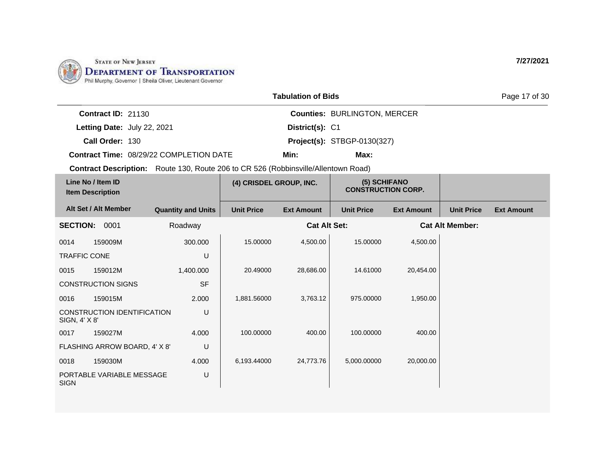

| <b>Tabulation of Bids</b> |  |  |
|---------------------------|--|--|
|---------------------------|--|--|

Page 17 of 30

| <b>Contract ID: 21130</b>   |                                                |                 | <b>Counties: BURLINGTON, MERCER</b> |
|-----------------------------|------------------------------------------------|-----------------|-------------------------------------|
| Letting Date: July 22, 2021 |                                                | District(s): C1 |                                     |
| Call Order: 130             |                                                |                 | <b>Project(s): STBGP-0130(327)</b>  |
|                             | <b>Contract Time: 08/29/22 COMPLETION DATE</b> | Min:            | Max:                                |

|                     | Line No / Item ID<br><b>Item Description</b> |                           | (4) CRISDEL GROUP, INC. |                     | (5) SCHIFANO<br><b>CONSTRUCTION CORP.</b> |                   |                        |                   |
|---------------------|----------------------------------------------|---------------------------|-------------------------|---------------------|-------------------------------------------|-------------------|------------------------|-------------------|
|                     | Alt Set / Alt Member                         | <b>Quantity and Units</b> | <b>Unit Price</b>       | <b>Ext Amount</b>   | <b>Unit Price</b>                         | <b>Ext Amount</b> | <b>Unit Price</b>      | <b>Ext Amount</b> |
| <b>SECTION:</b>     | 0001                                         | Roadway                   |                         | <b>Cat Alt Set:</b> |                                           |                   | <b>Cat Alt Member:</b> |                   |
| 0014                | 159009M                                      | 300.000                   | 15.00000                | 4,500.00            | 15.00000                                  | 4,500.00          |                        |                   |
| <b>TRAFFIC CONE</b> |                                              | U                         |                         |                     |                                           |                   |                        |                   |
| 0015                | 159012M                                      | 1,400.000                 | 20.49000                | 28,686.00           | 14.61000                                  | 20,454.00         |                        |                   |
|                     | <b>CONSTRUCTION SIGNS</b>                    | <b>SF</b>                 |                         |                     |                                           |                   |                        |                   |
| 0016                | 159015M                                      | 2.000                     | 1,881.56000             | 3,763.12            | 975.00000                                 | 1,950.00          |                        |                   |
| SIGN, 4' X 8'       | CONSTRUCTION IDENTIFICATION                  | U                         |                         |                     |                                           |                   |                        |                   |
| 0017                | 159027M                                      | 4.000                     | 100.00000               | 400.00              | 100.00000                                 | 400.00            |                        |                   |
|                     | FLASHING ARROW BOARD, 4' X 8'                | U                         |                         |                     |                                           |                   |                        |                   |
| 0018                | 159030M                                      | 4.000                     | 6,193.44000             | 24,773.76           | 5,000.00000                               | 20,000.00         |                        |                   |
| <b>SIGN</b>         | PORTABLE VARIABLE MESSAGE                    | U                         |                         |                     |                                           |                   |                        |                   |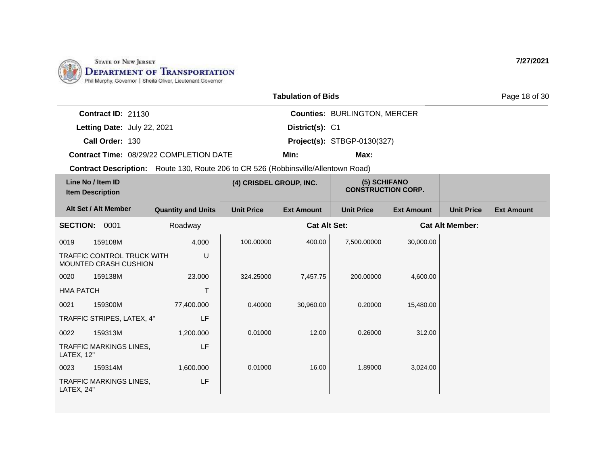

| <b>Tabulation of Bids</b> |  |
|---------------------------|--|
|---------------------------|--|

Page 18 of 30

**Call Order: Letting Date:** July 22, 2021 **District(s): C1 Contract ID:** 21130 **District(s): Counties:** BURLINGTON, MERCER 130 **Project(s):** STBGP-0130(327) **Contract Time:** 08/29/22 COMPLETION DATE **Min: Max:**

|                  | Line No / Item ID<br><b>Item Description</b>        |                           | (4) CRISDEL GROUP, INC. |                     | (5) SCHIFANO<br><b>CONSTRUCTION CORP.</b> |                   |                        |                   |
|------------------|-----------------------------------------------------|---------------------------|-------------------------|---------------------|-------------------------------------------|-------------------|------------------------|-------------------|
|                  | Alt Set / Alt Member                                | <b>Quantity and Units</b> | <b>Unit Price</b>       | <b>Ext Amount</b>   | <b>Unit Price</b>                         | <b>Ext Amount</b> | <b>Unit Price</b>      | <b>Ext Amount</b> |
| <b>SECTION:</b>  | 0001                                                | Roadway                   |                         | <b>Cat Alt Set:</b> |                                           |                   | <b>Cat Alt Member:</b> |                   |
| 0019             | 159108M                                             | 4.000                     | 100.00000               | 400.00              | 7,500.00000                               | 30,000.00         |                        |                   |
|                  | TRAFFIC CONTROL TRUCK WITH<br>MOUNTED CRASH CUSHION | U                         |                         |                     |                                           |                   |                        |                   |
| 0020             | 159138M                                             | 23.000                    | 324.25000               | 7,457.75            | 200.00000                                 | 4,600.00          |                        |                   |
| <b>HMA PATCH</b> |                                                     | T                         |                         |                     |                                           |                   |                        |                   |
| 0021             | 159300M                                             | 77,400.000                | 0.40000                 | 30,960.00           | 0.20000                                   | 15,480.00         |                        |                   |
|                  | TRAFFIC STRIPES, LATEX, 4"                          | LF                        |                         |                     |                                           |                   |                        |                   |
| 0022             | 159313M                                             | 1,200.000                 | 0.01000                 | 12.00               | 0.26000                                   | 312.00            |                        |                   |
| LATEX, 12"       | TRAFFIC MARKINGS LINES,                             | LF                        |                         |                     |                                           |                   |                        |                   |
| 0023             | 159314M                                             | 1,600.000                 | 0.01000                 | 16.00               | 1.89000                                   | 3,024.00          |                        |                   |
| LATEX, 24"       | <b>TRAFFIC MARKINGS LINES,</b>                      | LF                        |                         |                     |                                           |                   |                        |                   |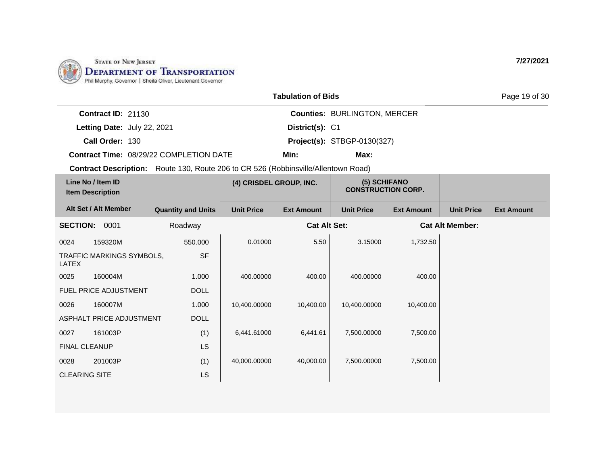

| <b>Tabulation of Bids</b> |  |  |
|---------------------------|--|--|
|---------------------------|--|--|

Page 19 of 30

| <b>Contract ID: 21130</b> |                                                |                 | <b>Counties: BURLINGTON, MERCER</b> |
|---------------------------|------------------------------------------------|-----------------|-------------------------------------|
|                           | Letting Date: July 22, 2021                    | District(s): C1 |                                     |
| Call Order: 130           |                                                |                 | <b>Project(s): STBGP-0130(327)</b>  |
|                           | <b>Contract Time: 08/29/22 COMPLETION DATE</b> | Min:            | Max:                                |

|                      | Line No / Item ID<br><b>Item Description</b> |                           | (4) CRISDEL GROUP, INC. |                     | (5) SCHIFANO<br><b>CONSTRUCTION CORP.</b> |                   |                        |                   |
|----------------------|----------------------------------------------|---------------------------|-------------------------|---------------------|-------------------------------------------|-------------------|------------------------|-------------------|
|                      | Alt Set / Alt Member                         | <b>Quantity and Units</b> | <b>Unit Price</b>       | <b>Ext Amount</b>   | <b>Unit Price</b>                         | <b>Ext Amount</b> | <b>Unit Price</b>      | <b>Ext Amount</b> |
| <b>SECTION:</b>      | 0001                                         | Roadway                   |                         | <b>Cat Alt Set:</b> |                                           |                   | <b>Cat Alt Member:</b> |                   |
| 0024                 | 159320M                                      | 550.000                   | 0.01000                 | 5.50                | 3.15000                                   | 1,732.50          |                        |                   |
| LATEX                | TRAFFIC MARKINGS SYMBOLS,                    | <b>SF</b>                 |                         |                     |                                           |                   |                        |                   |
| 0025                 | 160004M                                      | 1.000                     | 400.00000               | 400.00              | 400.00000                                 | 400.00            |                        |                   |
|                      | FUEL PRICE ADJUSTMENT                        | <b>DOLL</b>               |                         |                     |                                           |                   |                        |                   |
| 0026                 | 160007M                                      | 1.000                     | 10,400.00000            | 10,400.00           | 10,400.00000                              | 10,400.00         |                        |                   |
|                      | ASPHALT PRICE ADJUSTMENT                     | <b>DOLL</b>               |                         |                     |                                           |                   |                        |                   |
| 0027                 | 161003P                                      | (1)                       | 6,441.61000             | 6,441.61            | 7,500.00000                               | 7,500.00          |                        |                   |
| <b>FINAL CLEANUP</b> |                                              | LS                        |                         |                     |                                           |                   |                        |                   |
| 0028                 | 201003P                                      | (1)                       | 40,000.00000            | 40,000.00           | 7,500.00000                               | 7,500.00          |                        |                   |
| <b>CLEARING SITE</b> |                                              | LS                        |                         |                     |                                           |                   |                        |                   |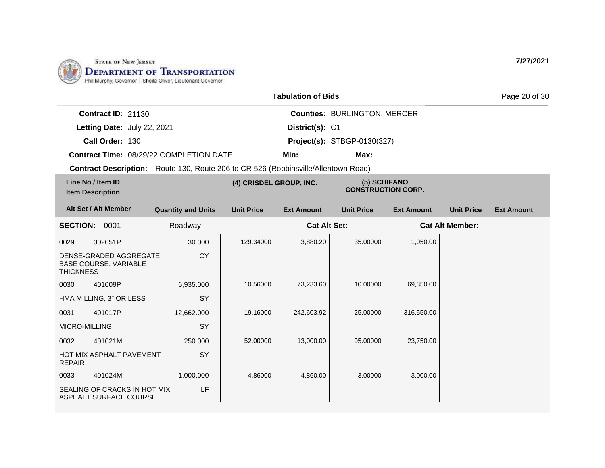

| <b>Tabulation of Bids</b> |  |  |
|---------------------------|--|--|
|---------------------------|--|--|

Page 20 of 30

| <b>Contract ID: 21130</b> |                                                |                 | <b>Counties: BURLINGTON, MERCER</b> |
|---------------------------|------------------------------------------------|-----------------|-------------------------------------|
|                           | Letting Date: July 22, 2021                    | District(s): C1 |                                     |
| Call Order: 130           |                                                |                 | <b>Project(s): STBGP-0130(327)</b>  |
|                           | <b>Contract Time: 08/29/22 COMPLETION DATE</b> | Min:            | Max:                                |

| Line No / Item ID<br><b>Item Description</b> |                                                        | (4) CRISDEL GROUP, INC.   |                   | (5) SCHIFANO<br><b>CONSTRUCTION CORP.</b> |                   |                   |                        |                   |
|----------------------------------------------|--------------------------------------------------------|---------------------------|-------------------|-------------------------------------------|-------------------|-------------------|------------------------|-------------------|
|                                              | Alt Set / Alt Member                                   | <b>Quantity and Units</b> | <b>Unit Price</b> | <b>Ext Amount</b>                         | <b>Unit Price</b> | <b>Ext Amount</b> | <b>Unit Price</b>      | <b>Ext Amount</b> |
| <b>SECTION:</b>                              | 0001                                                   | Roadway                   |                   | <b>Cat Alt Set:</b>                       |                   |                   | <b>Cat Alt Member:</b> |                   |
| 0029                                         | 302051P                                                | 30.000                    | 129.34000         | 3,880.20                                  | 35.00000          | 1,050.00          |                        |                   |
| <b>THICKNESS</b>                             | DENSE-GRADED AGGREGATE<br><b>BASE COURSE, VARIABLE</b> | <b>CY</b>                 |                   |                                           |                   |                   |                        |                   |
| 0030                                         | 401009P                                                | 6,935.000                 | 10.56000          | 73,233.60                                 | 10.00000          | 69,350.00         |                        |                   |
|                                              | HMA MILLING, 3" OR LESS                                | SY                        |                   |                                           |                   |                   |                        |                   |
| 0031                                         | 401017P                                                | 12,662.000                | 19.16000          | 242,603.92                                | 25.00000          | 316,550.00        |                        |                   |
| MICRO-MILLING                                |                                                        | SY                        |                   |                                           |                   |                   |                        |                   |
| 0032                                         | 401021M                                                | 250.000                   | 52,00000          | 13,000.00                                 | 95.00000          | 23,750.00         |                        |                   |
| <b>REPAIR</b>                                | HOT MIX ASPHALT PAVEMENT                               | SY                        |                   |                                           |                   |                   |                        |                   |
| 0033                                         | 401024M                                                | 1,000.000                 | 4.86000           | 4,860.00                                  | 3.00000           | 3,000.00          |                        |                   |
|                                              | SEALING OF CRACKS IN HOT MIX<br>ASPHALT SURFACE COURSE | LF                        |                   |                                           |                   |                   |                        |                   |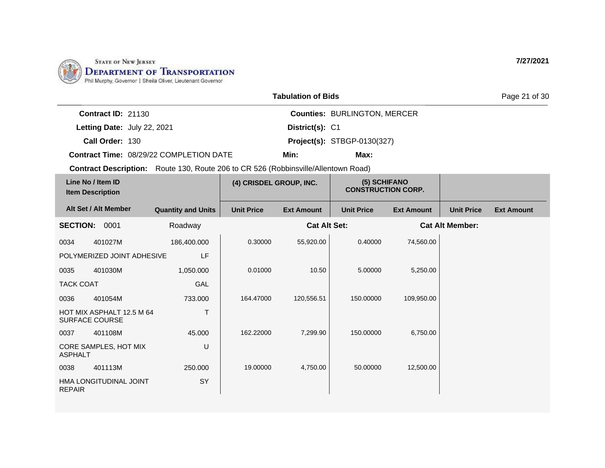

| <b>Tabulation of Bids</b> |  |  |
|---------------------------|--|--|
|---------------------------|--|--|

Page 21 of 30

**Call Order: Letting Date:** July 22, 2021 **District(s): C1 Contract ID:** 21130 **District(s): Counties:** BURLINGTON, MERCER 130 **Project(s):** STBGP-0130(327) **Contract Time:** 08/29/22 COMPLETION DATE **Min: Max:**

|                  | Line No / Item ID<br><b>Item Description</b>       |                           | (4) CRISDEL GROUP, INC. |                     | (5) SCHIFANO<br><b>CONSTRUCTION CORP.</b> |                   |                        |                   |
|------------------|----------------------------------------------------|---------------------------|-------------------------|---------------------|-------------------------------------------|-------------------|------------------------|-------------------|
|                  | Alt Set / Alt Member                               | <b>Quantity and Units</b> | <b>Unit Price</b>       | <b>Ext Amount</b>   | <b>Unit Price</b>                         | <b>Ext Amount</b> | <b>Unit Price</b>      | <b>Ext Amount</b> |
| <b>SECTION:</b>  | 0001                                               | Roadway                   |                         | <b>Cat Alt Set:</b> |                                           |                   | <b>Cat Alt Member:</b> |                   |
| 0034             | 401027M                                            | 186,400.000               | 0.30000                 | 55,920.00           | 0.40000                                   | 74,560.00         |                        |                   |
|                  | POLYMERIZED JOINT ADHESIVE                         | LF                        |                         |                     |                                           |                   |                        |                   |
| 0035             | 401030M                                            | 1,050.000                 | 0.01000                 | 10.50               | 5.00000                                   | 5,250.00          |                        |                   |
| <b>TACK COAT</b> |                                                    | GAL                       |                         |                     |                                           |                   |                        |                   |
| 0036             | 401054M                                            | 733.000                   | 164.47000               | 120,556.51          | 150,00000                                 | 109,950.00        |                        |                   |
|                  | HOT MIX ASPHALT 12.5 M 64<br><b>SURFACE COURSE</b> | T                         |                         |                     |                                           |                   |                        |                   |
| 0037             | 401108M                                            | 45.000                    | 162.22000               | 7,299.90            | 150.00000                                 | 6,750.00          |                        |                   |
| <b>ASPHALT</b>   | CORE SAMPLES, HOT MIX                              | U                         |                         |                     |                                           |                   |                        |                   |
| 0038             | 401113M                                            | 250.000                   | 19,00000                | 4,750.00            | 50.00000                                  | 12,500.00         |                        |                   |
| <b>REPAIR</b>    | HMA LONGITUDINAL JOINT                             | SY                        |                         |                     |                                           |                   |                        |                   |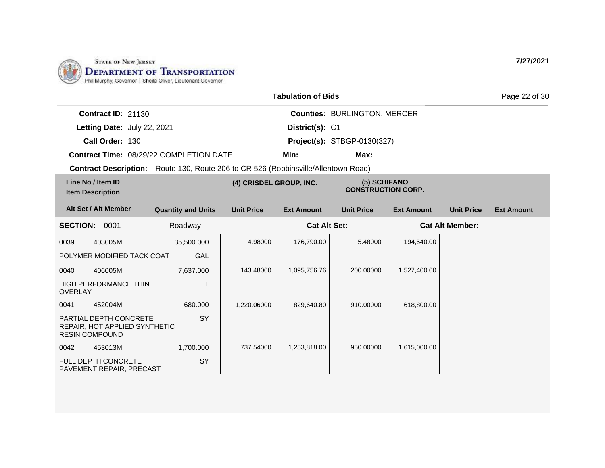

| <b>Tabulation of Bids</b> |  |  |
|---------------------------|--|--|
|---------------------------|--|--|

Page 22 of 30

**Call Order: Letting Date:** July 22, 2021 **District(s): C1 Contract ID:** 21130 **District(s): Counties:** BURLINGTON, MERCER 130 **Project(s):** STBGP-0130(327) **Contract Time:** 08/29/22 COMPLETION DATE **Min: Max:**

| Line No / Item ID<br><b>Item Description</b> |                                                                | (4) CRISDEL GROUP, INC.   |                   | (5) SCHIFANO<br><b>CONSTRUCTION CORP.</b> |                   |                   |                        |                   |
|----------------------------------------------|----------------------------------------------------------------|---------------------------|-------------------|-------------------------------------------|-------------------|-------------------|------------------------|-------------------|
|                                              | Alt Set / Alt Member                                           | <b>Quantity and Units</b> | <b>Unit Price</b> | <b>Ext Amount</b>                         | <b>Unit Price</b> | <b>Ext Amount</b> | <b>Unit Price</b>      | <b>Ext Amount</b> |
| <b>SECTION:</b>                              | 0001                                                           | Roadway                   |                   | <b>Cat Alt Set:</b>                       |                   |                   | <b>Cat Alt Member:</b> |                   |
| 0039                                         | 403005M                                                        | 35,500.000                | 4.98000           | 176,790.00                                | 5.48000           | 194,540.00        |                        |                   |
|                                              | POLYMER MODIFIED TACK COAT                                     | GAL                       |                   |                                           |                   |                   |                        |                   |
| 0040                                         | 406005M                                                        | 7,637.000                 | 143.48000         | 1,095,756.76                              | 200.00000         | 1,527,400.00      |                        |                   |
| <b>OVERLAY</b>                               | <b>HIGH PERFORMANCE THIN</b>                                   |                           |                   |                                           |                   |                   |                        |                   |
| 0041                                         | 452004M                                                        | 680,000                   | 1,220.06000       | 829,640.80                                | 910.00000         | 618,800.00        |                        |                   |
| <b>RESIN COMPOUND</b>                        | <b>PARTIAL DEPTH CONCRETE</b><br>REPAIR, HOT APPLIED SYNTHETIC | <b>SY</b>                 |                   |                                           |                   |                   |                        |                   |
| 0042                                         | 453013M                                                        | 1,700.000                 | 737.54000         | 1,253,818.00                              | 950.00000         | 1,615,000.00      |                        |                   |
|                                              | <b>FULL DEPTH CONCRETE</b><br>PAVEMENT REPAIR, PRECAST         | SY                        |                   |                                           |                   |                   |                        |                   |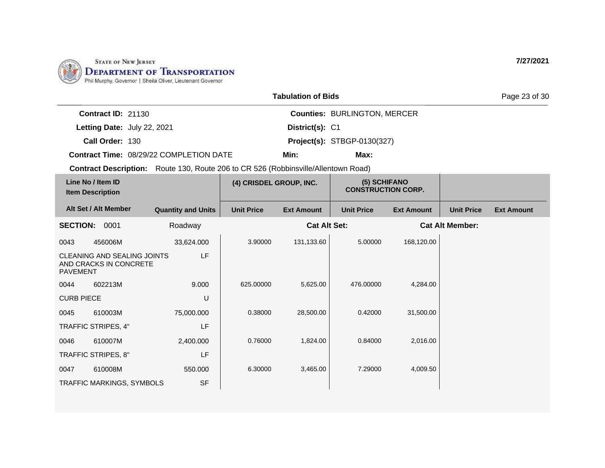

## **Tabulation of Bids**

**Counties:** BURLINGTON, MERCER

**Min: Max:**

**7/27/2021**

Page 23 of 30

| <b>Contract ID: 21130</b>          | <b>Counties: BU</b> |  |
|------------------------------------|---------------------|--|
| <b>Letting Date: July 22, 2021</b> | District(s): C1     |  |

**Call Order:** 130 **Project(s):** STBGP-0130(327)

**Contract Time:** 08/29/22 COMPLETION DATE

|                   | Line No / Item ID<br><b>Item Description</b>                 |                           | (4) CRISDEL GROUP, INC. |                     | (5) SCHIFANO<br><b>CONSTRUCTION CORP.</b> |                   |                        |                   |
|-------------------|--------------------------------------------------------------|---------------------------|-------------------------|---------------------|-------------------------------------------|-------------------|------------------------|-------------------|
|                   | Alt Set / Alt Member                                         | <b>Quantity and Units</b> | <b>Unit Price</b>       | <b>Ext Amount</b>   | <b>Unit Price</b>                         | <b>Ext Amount</b> | <b>Unit Price</b>      | <b>Ext Amount</b> |
| <b>SECTION:</b>   | 0001                                                         | Roadway                   |                         | <b>Cat Alt Set:</b> |                                           |                   | <b>Cat Alt Member:</b> |                   |
| 0043              | 456006M                                                      | 33,624.000                | 3.90000                 | 131,133.60          | 5.00000                                   | 168,120.00        |                        |                   |
| <b>PAVEMENT</b>   | <b>CLEANING AND SEALING JOINTS</b><br>AND CRACKS IN CONCRETE | LF                        |                         |                     |                                           |                   |                        |                   |
| 0044              | 602213M                                                      | 9.000                     | 625.00000               | 5,625.00            | 476.00000                                 | 4,284.00          |                        |                   |
| <b>CURB PIECE</b> |                                                              | U                         |                         |                     |                                           |                   |                        |                   |
| 0045              | 610003M                                                      | 75,000.000                | 0.38000                 | 28,500.00           | 0.42000                                   | 31,500.00         |                        |                   |
|                   | TRAFFIC STRIPES, 4"                                          | LF                        |                         |                     |                                           |                   |                        |                   |
| 0046              | 610007M                                                      | 2,400.000                 | 0.76000                 | 1,824.00            | 0.84000                                   | 2,016.00          |                        |                   |
|                   | TRAFFIC STRIPES, 8"                                          | LF                        |                         |                     |                                           |                   |                        |                   |
| 0047              | 610008M                                                      | 550.000                   | 6.30000                 | 3,465.00            | 7.29000                                   | 4,009.50          |                        |                   |
|                   | TRAFFIC MARKINGS, SYMBOLS                                    | <b>SF</b>                 |                         |                     |                                           |                   |                        |                   |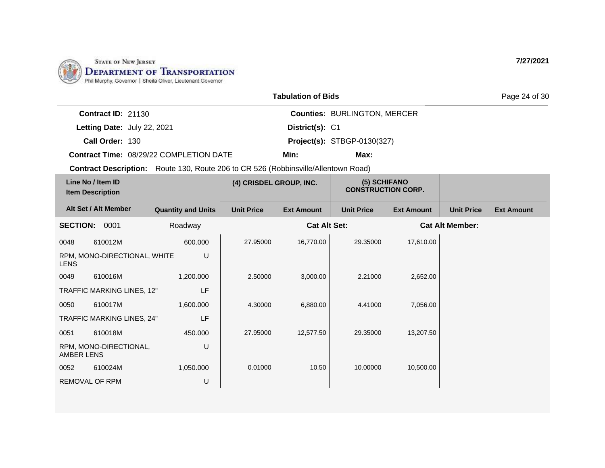

| <b>Tabulation of Bids</b> |  |  |
|---------------------------|--|--|
|---------------------------|--|--|

Page 24 of 30

| Contract $ID: 21130$        |                                                |                 | <b>Counties: BURLINGTON, MERCER</b> |
|-----------------------------|------------------------------------------------|-----------------|-------------------------------------|
| Letting Date: July 22, 2021 |                                                | District(s): C1 |                                     |
| Call Order: 130             |                                                |                 | <b>Project(s): STBGP-0130(327)</b>  |
|                             | <b>Contract Time: 08/29/22 COMPLETION DATE</b> | Min:            | Max:                                |

|                 | Line No / Item ID<br><b>Item Description</b> |                           | (4) CRISDEL GROUP, INC. |                     | (5) SCHIFANO<br><b>CONSTRUCTION CORP.</b> |                   |                        |                   |
|-----------------|----------------------------------------------|---------------------------|-------------------------|---------------------|-------------------------------------------|-------------------|------------------------|-------------------|
|                 | Alt Set / Alt Member                         | <b>Quantity and Units</b> | <b>Unit Price</b>       | <b>Ext Amount</b>   | <b>Unit Price</b>                         | <b>Ext Amount</b> | <b>Unit Price</b>      | <b>Ext Amount</b> |
| <b>SECTION:</b> | 0001                                         | Roadway                   |                         | <b>Cat Alt Set:</b> |                                           |                   | <b>Cat Alt Member:</b> |                   |
| 0048            | 610012M                                      | 600.000                   | 27.95000                | 16,770.00           | 29.35000                                  | 17,610.00         |                        |                   |
| <b>LENS</b>     | RPM, MONO-DIRECTIONAL, WHITE                 | U                         |                         |                     |                                           |                   |                        |                   |
| 0049            | 610016M                                      | 1,200.000                 | 2.50000                 | 3,000.00            | 2.21000                                   | 2,652.00          |                        |                   |
|                 | TRAFFIC MARKING LINES, 12"                   | LF                        |                         |                     |                                           |                   |                        |                   |
| 0050            | 610017M                                      | 1,600.000                 | 4.30000                 | 6,880.00            | 4.41000                                   | 7,056.00          |                        |                   |
|                 | TRAFFIC MARKING LINES, 24"                   | LF                        |                         |                     |                                           |                   |                        |                   |
| 0051            | 610018M                                      | 450.000                   | 27.95000                | 12,577.50           | 29.35000                                  | 13,207.50         |                        |                   |
| AMBER LENS      | RPM, MONO-DIRECTIONAL,                       | U                         |                         |                     |                                           |                   |                        |                   |
| 0052            | 610024M                                      | 1,050.000                 | 0.01000                 | 10.50               | 10.00000                                  | 10,500.00         |                        |                   |
| REMOVAL OF RPM  |                                              | U                         |                         |                     |                                           |                   |                        |                   |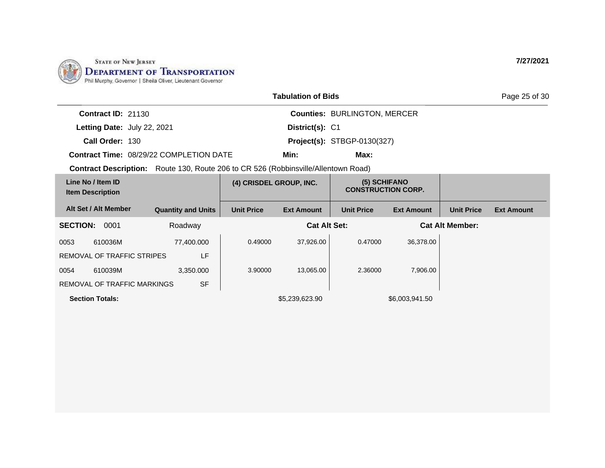

|                             |                                                                                           | <b>Tabulation of Bids</b> |                                     | Page 25 of 30 |  |  |  |
|-----------------------------|-------------------------------------------------------------------------------------------|---------------------------|-------------------------------------|---------------|--|--|--|
| <b>Contract ID: 21130</b>   |                                                                                           |                           | <b>Counties: BURLINGTON, MERCER</b> |               |  |  |  |
| Letting Date: July 22, 2021 |                                                                                           | District(s): C1           |                                     |               |  |  |  |
| Call Order: 130             |                                                                                           |                           | <b>Project(s): STBGP-0130(327)</b>  |               |  |  |  |
|                             | <b>Contract Time: 08/29/22 COMPLETION DATE</b>                                            | Min:                      | Max:                                |               |  |  |  |
|                             | <b>Contract Description:</b> Route 130, Route 206 to CR 526 (Robbinsville/Allentown Road) |                           |                                     |               |  |  |  |
|                             |                                                                                           |                           |                                     |               |  |  |  |

| Line No / Item ID<br><b>Item Description</b> |                                    | (4) CRISDEL GROUP, INC.   |                   | (5) SCHIFANO<br><b>CONSTRUCTION CORP.</b> |                   |                   |                        |                   |
|----------------------------------------------|------------------------------------|---------------------------|-------------------|-------------------------------------------|-------------------|-------------------|------------------------|-------------------|
|                                              | Alt Set / Alt Member               | <b>Quantity and Units</b> | <b>Unit Price</b> | <b>Ext Amount</b>                         | <b>Unit Price</b> | <b>Ext Amount</b> | <b>Unit Price</b>      | <b>Ext Amount</b> |
| <b>SECTION:</b>                              | 0001                               | Roadway                   |                   | <b>Cat Alt Set:</b>                       |                   |                   | <b>Cat Alt Member:</b> |                   |
| 0053                                         | 610036M                            | 77,400.000                | 0.49000           | 37.926.00                                 | 0.47000           | 36,378.00         |                        |                   |
|                                              | REMOVAL OF TRAFFIC STRIPES         | LF                        |                   |                                           |                   |                   |                        |                   |
| 0054                                         | 610039M                            | 3,350.000                 | 3.90000           | 13,065.00                                 | 2.36000           | 7,906.00          |                        |                   |
|                                              | <b>REMOVAL OF TRAFFIC MARKINGS</b> | <b>SF</b>                 |                   |                                           |                   |                   |                        |                   |
|                                              | <b>Section Totals:</b>             |                           |                   | \$5,239,623.90                            |                   | \$6,003,941.50    |                        |                   |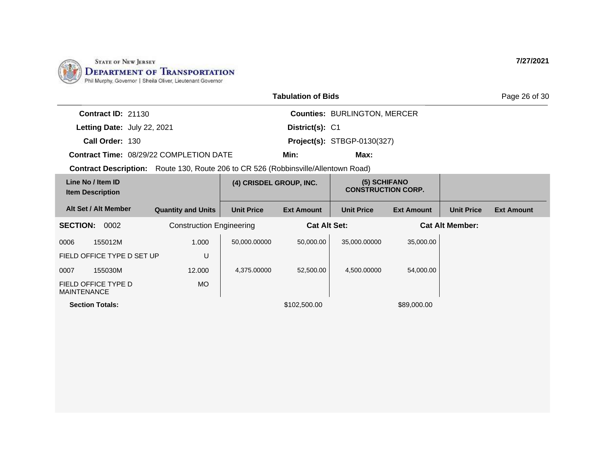

| <b>Tabulation of Bids</b>                    |  |                                                                                           |                         |                     |                                           |                   | Page 26 of 30          |                   |
|----------------------------------------------|--|-------------------------------------------------------------------------------------------|-------------------------|---------------------|-------------------------------------------|-------------------|------------------------|-------------------|
| <b>Contract ID: 21130</b>                    |  |                                                                                           |                         |                     | <b>Counties: BURLINGTON, MERCER</b>       |                   |                        |                   |
| Letting Date: July 22, 2021                  |  |                                                                                           |                         | District(s): C1     |                                           |                   |                        |                   |
| Call Order: 130                              |  |                                                                                           |                         |                     | <b>Project(s): STBGP-0130(327)</b>        |                   |                        |                   |
|                                              |  | <b>Contract Time: 08/29/22 COMPLETION DATE</b>                                            |                         | Min:                | Max:                                      |                   |                        |                   |
|                                              |  | <b>Contract Description:</b> Route 130, Route 206 to CR 526 (Robbinsville/Allentown Road) |                         |                     |                                           |                   |                        |                   |
| Line No / Item ID<br><b>Item Description</b> |  |                                                                                           | (4) CRISDEL GROUP, INC. |                     | (5) SCHIFANO<br><b>CONSTRUCTION CORP.</b> |                   |                        |                   |
| Alt Set / Alt Member                         |  | <b>Quantity and Units</b>                                                                 | <b>Unit Price</b>       | <b>Ext Amount</b>   | <b>Unit Price</b>                         | <b>Ext Amount</b> | <b>Unit Price</b>      | <b>Ext Amount</b> |
| <b>SECTION:</b><br>0002                      |  | <b>Construction Engineering</b>                                                           |                         | <b>Cat Alt Set:</b> |                                           |                   | <b>Cat Alt Member:</b> |                   |
| 155012M<br>0006                              |  | 1.000                                                                                     | 50,000.00000            | 50,000.00           | 35,000.00000                              | 35,000.00         |                        |                   |
| U<br>FIELD OFFICE TYPE D SET UP              |  |                                                                                           |                         |                     |                                           |                   |                        |                   |
| 155030M<br>0007                              |  | 12.000                                                                                    | 4,375.00000             | 52,500.00           | 4,500.00000                               | 54,000.00         |                        |                   |
| FIELD OFFICE TYPE D<br><b>MAINTENANCE</b>    |  | <b>MO</b>                                                                                 |                         |                     |                                           |                   |                        |                   |

**Section Totals:**  $$102,500.00$   $$89,000.00$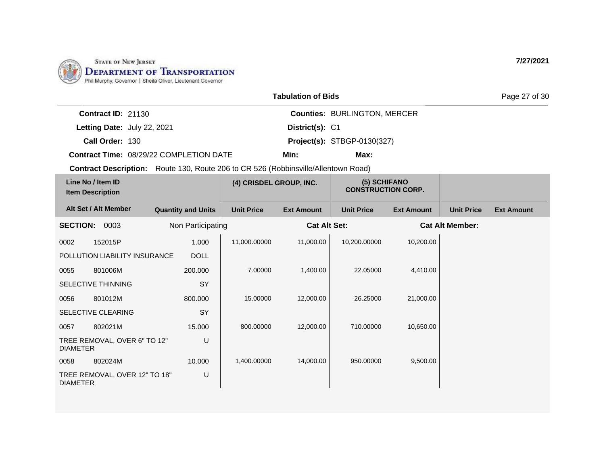

| <b>Tabulation of Bids</b> |  |
|---------------------------|--|
|---------------------------|--|

Page 27 of 30

| <b>Contract ID: 21130</b> |
|---------------------------|
|---------------------------|

**Letting Date:** July 22, 2021 **District(s): C1** 

**Call Order:** 130 **Project(s):** STBGP-0130(327)

**Contract Time:** 08/29/22 COMPLETION DATE

**Min: Max:**

**Counties:** BURLINGTON, MERCER

**District(s):**

**Contract Description:** Route 130, Route 206 to CR 526 (Robbinsville/Allentown Road)

| Line No / Item ID<br><b>Item Description</b> |                               | (4) CRISDEL GROUP, INC.   |                   | (5) SCHIFANO<br><b>CONSTRUCTION CORP.</b> |                   |                   |                        |                   |
|----------------------------------------------|-------------------------------|---------------------------|-------------------|-------------------------------------------|-------------------|-------------------|------------------------|-------------------|
|                                              | Alt Set / Alt Member          | <b>Quantity and Units</b> | <b>Unit Price</b> | <b>Ext Amount</b>                         | <b>Unit Price</b> | <b>Ext Amount</b> | <b>Unit Price</b>      | <b>Ext Amount</b> |
| <b>SECTION:</b>                              | 0003                          | Non Participating         |                   | <b>Cat Alt Set:</b>                       |                   |                   | <b>Cat Alt Member:</b> |                   |
| 0002                                         | 152015P                       | 1.000                     | 11,000.00000      | 11,000.00                                 | 10,200.00000      | 10,200.00         |                        |                   |
|                                              | POLLUTION LIABILITY INSURANCE | <b>DOLL</b>               |                   |                                           |                   |                   |                        |                   |
| 0055                                         | 801006M                       | 200.000                   | 7.00000           | 1,400.00                                  | 22.05000          | 4,410.00          |                        |                   |
|                                              | <b>SELECTIVE THINNING</b>     | <b>SY</b>                 |                   |                                           |                   |                   |                        |                   |
| 0056                                         | 801012M                       | 800.000                   | 15.00000          | 12,000.00                                 | 26.25000          | 21,000.00         |                        |                   |
|                                              | SELECTIVE CLEARING            | SY                        |                   |                                           |                   |                   |                        |                   |
| 0057                                         | 802021M                       | 15.000                    | 800.00000         | 12,000.00                                 | 710.00000         | 10,650.00         |                        |                   |
| <b>DIAMETER</b>                              | TREE REMOVAL, OVER 6" TO 12"  | U                         |                   |                                           |                   |                   |                        |                   |
| 0058                                         | 802024M                       | 10.000                    | 1,400.00000       | 14,000.00                                 | 950.00000         | 9,500.00          |                        |                   |
| <b>DIAMETER</b>                              | TREE REMOVAL, OVER 12" TO 18" | U                         |                   |                                           |                   |                   |                        |                   |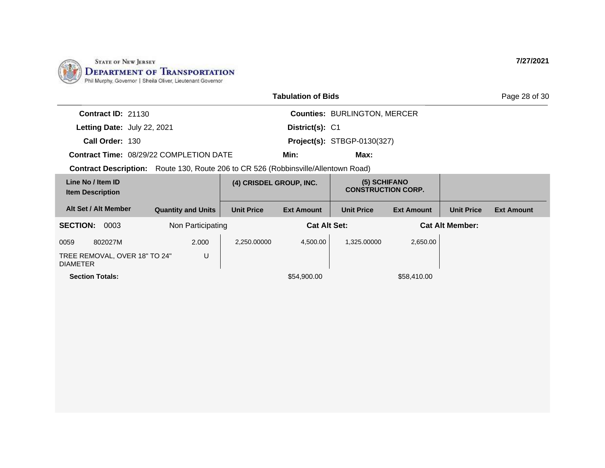

| <b>Tabulation of Bids</b>                                                                 |                           |                         |                   |                                           |                   |                        | Page 28 of 30     |
|-------------------------------------------------------------------------------------------|---------------------------|-------------------------|-------------------|-------------------------------------------|-------------------|------------------------|-------------------|
| <b>Contract ID: 21130</b>                                                                 |                           |                         |                   | <b>Counties: BURLINGTON, MERCER</b>       |                   |                        |                   |
| Letting Date: July 22, 2021                                                               |                           |                         | District(s): C1   |                                           |                   |                        |                   |
| Call Order: 130                                                                           |                           |                         |                   | <b>Project(s): STBGP-0130(327)</b>        |                   |                        |                   |
| <b>Contract Time: 08/29/22 COMPLETION DATE</b>                                            |                           |                         | Min:              | Max:                                      |                   |                        |                   |
| <b>Contract Description:</b> Route 130, Route 206 to CR 526 (Robbinsville/Allentown Road) |                           |                         |                   |                                           |                   |                        |                   |
| Line No / Item ID<br><b>Item Description</b>                                              |                           | (4) CRISDEL GROUP, INC. |                   | (5) SCHIFANO<br><b>CONSTRUCTION CORP.</b> |                   |                        |                   |
| Alt Set / Alt Member                                                                      | <b>Quantity and Units</b> | <b>Unit Price</b>       | <b>Ext Amount</b> | <b>Unit Price</b>                         | <b>Ext Amount</b> | <b>Unit Price</b>      | <b>Ext Amount</b> |
| <b>SECTION:</b><br>0003<br>Non Participating                                              |                           | <b>Cat Alt Set:</b>     |                   |                                           |                   | <b>Cat Alt Member:</b> |                   |
| 802027M<br>0059                                                                           | 2.000                     | 2,250.00000             | 4,500.00          | 1,325.00000                               | 2,650.00          |                        |                   |
| TREE REMOVAL, OVER 18" TO 24"<br><b>DIAMETER</b>                                          | U                         |                         |                   |                                           |                   |                        |                   |
| <b>Section Totals:</b>                                                                    |                           |                         | \$54,900.00       |                                           | \$58,410.00       |                        |                   |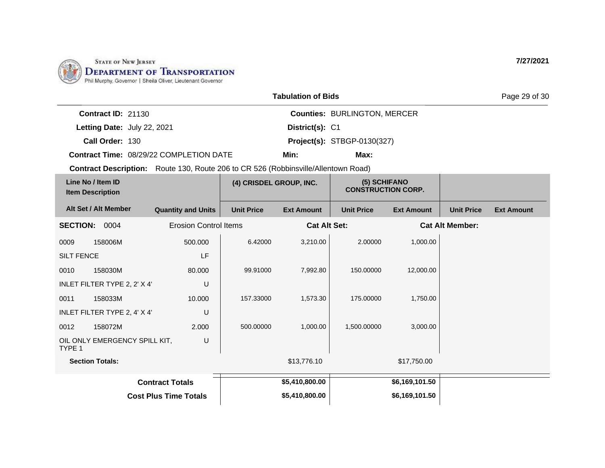

|                             |                                                |                 | <b>Tabulation of Bids</b>           |  |  |
|-----------------------------|------------------------------------------------|-----------------|-------------------------------------|--|--|
| <b>Contract ID: 21130</b>   |                                                |                 | <b>Counties: BURLINGTON, MERCER</b> |  |  |
| Letting Date: July 22, 2021 |                                                | District(s): C1 |                                     |  |  |
| Call Order: 130             |                                                |                 | <b>Project(s): STBGP-0130(327)</b>  |  |  |
|                             | <b>Contract Time: 08/29/22 COMPLETION DATE</b> | Min:            | Max:                                |  |  |

**Contract Description:** Route 130, Route 206 to CR 526 (Robbinsville/Allentown Road)

| Line No / Item ID<br><b>Item Description</b> |                               | (4) CRISDEL GROUP, INC.      |                   | (5) SCHIFANO<br><b>CONSTRUCTION CORP.</b> |                   |                   |                        |                   |
|----------------------------------------------|-------------------------------|------------------------------|-------------------|-------------------------------------------|-------------------|-------------------|------------------------|-------------------|
|                                              | Alt Set / Alt Member          | <b>Quantity and Units</b>    | <b>Unit Price</b> | <b>Ext Amount</b>                         | <b>Unit Price</b> | <b>Ext Amount</b> | <b>Unit Price</b>      | <b>Ext Amount</b> |
| <b>SECTION:</b>                              | 0004                          | <b>Erosion Control Items</b> |                   | <b>Cat Alt Set:</b>                       |                   |                   | <b>Cat Alt Member:</b> |                   |
| 0009                                         | 158006M                       | 500.000                      | 6.42000           | 3,210.00                                  | 2.00000           | 1,000.00          |                        |                   |
| <b>SILT FENCE</b>                            |                               | LF                           |                   |                                           |                   |                   |                        |                   |
| 0010                                         | 158030M                       | 80.000                       | 99.91000          | 7,992.80                                  | 150.00000         | 12,000.00         |                        |                   |
|                                              | INLET FILTER TYPE 2, 2' X 4'  | U                            |                   |                                           |                   |                   |                        |                   |
| 0011                                         | 158033M                       | 10.000                       | 157.33000         | 1,573.30                                  | 175.00000         | 1,750.00          |                        |                   |
|                                              | INLET FILTER TYPE 2, 4' X 4'  | U                            |                   |                                           |                   |                   |                        |                   |
| 0012                                         | 158072M                       | 2.000                        | 500.00000         | 1,000.00                                  | 1,500.00000       | 3,000.00          |                        |                   |
| TYPE 1                                       | OIL ONLY EMERGENCY SPILL KIT, | U                            |                   |                                           |                   |                   |                        |                   |
| <b>Section Totals:</b>                       |                               |                              | \$13,776.10       |                                           | \$17,750.00       |                   |                        |                   |
| <b>Contract Totals</b>                       |                               |                              |                   | \$5,410,800.00                            |                   | \$6,169,101.50    |                        |                   |
|                                              |                               | <b>Cost Plus Time Totals</b> |                   | \$5,410,800.00                            |                   | \$6,169,101.50    |                        |                   |

**7/27/2021**

Page 29 of 30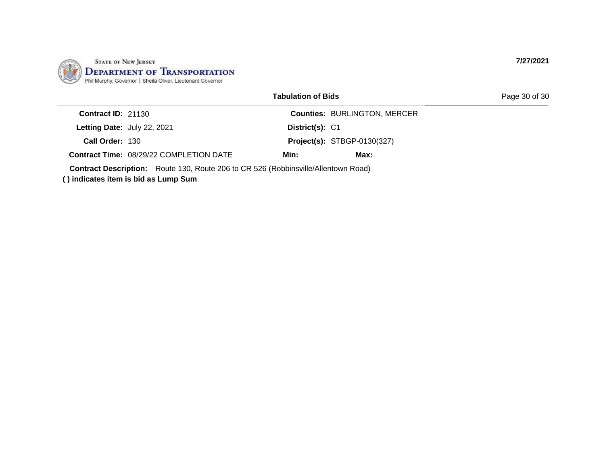

Page 30 of 30

| <b>Contract ID: 21130</b>                      |      | <b>Counties: BURLINGTON, MERCER</b> |
|------------------------------------------------|------|-------------------------------------|
| Letting Date: July 22, 2021                    |      |                                     |
| Call Order: 130                                |      | <b>Project(s): STBGP-0130(327)</b>  |
| <b>Contract Time: 08/29/22 COMPLETION DATE</b> | Min: | Max:                                |
|                                                |      | District(s): C1                     |

**Contract Description:** Route 130, Route 206 to CR 526 (Robbinsville/Allentown Road)

**( ) indicates item is bid as Lump Sum**